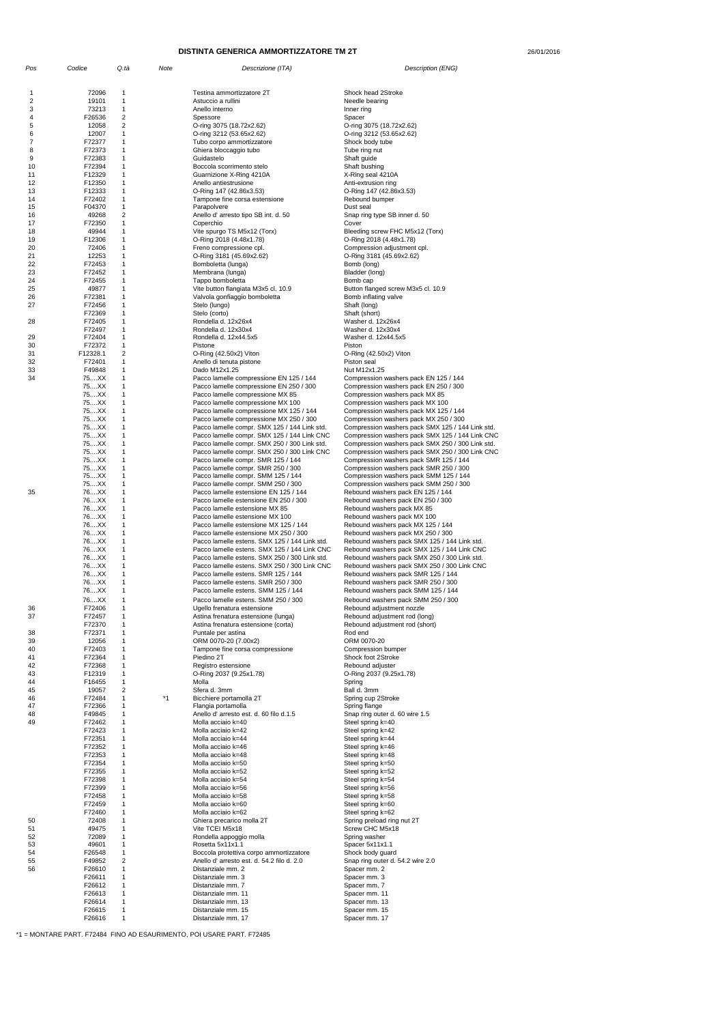26/01/2016

| Pos      | Codice           | Q.tà                                   | Note | Descrizione (ITA)                                                                             | Description (ENG)                                                                                   |
|----------|------------------|----------------------------------------|------|-----------------------------------------------------------------------------------------------|-----------------------------------------------------------------------------------------------------|
|          |                  |                                        |      |                                                                                               |                                                                                                     |
| 1        | 72096            | $\mathbf{1}$                           |      | Testina ammortizzatore 2T                                                                     | Shock head 2Stroke                                                                                  |
| 2<br>3   | 19101<br>73213   | $\mathbf 1$<br>$\mathbf 1$             |      | Astuccio a rullini<br>Anello interno                                                          | Needle bearing<br>Inner ring                                                                        |
| 4        | F26536           | 2                                      |      | Spessore                                                                                      | Spacer                                                                                              |
| 5        | 12058            | 2                                      |      | O-ring 3075 (18.72x2.62)                                                                      | O-ring 3075 (18.72x2.62)                                                                            |
| 6<br>7   | 12007<br>F72377  | $\mathbf 1$<br>1                       |      | O-ring 3212 (53.65x2.62)<br>Tubo corpo ammortizzatore                                         | O-ring 3212 (53.65x2.62)<br>Shock body tube                                                         |
| 8        | F72373           | 1                                      |      | Ghiera bloccaggio tubo                                                                        | Tube ring nut                                                                                       |
| 9        | F72383           | $\mathbf 1$                            |      | Guidastelo                                                                                    | Shaft guide                                                                                         |
| 10       | F72394           | 1                                      |      | Boccola scorrimento stelo                                                                     | Shaft bushing                                                                                       |
| 11<br>12 | F12329<br>F12350 | $\mathbf 1$<br>$\mathbf 1$             |      | Guarnizione X-Ring 4210A<br>Anello antiestrusione                                             | X-Ring seal 4210A<br>Anti-extrusion ring                                                            |
| 13       | F12333           | $\mathbf 1$                            |      | O-Ring 147 (42.86x3.53)                                                                       | O-Ring 147 (42.86x3.53)                                                                             |
| 14       | F72402           | $\mathbf 1$                            |      | Tampone fine corsa estensione                                                                 | Rebound bumper                                                                                      |
| 15<br>16 | F04370<br>49268  | $\mathbf 1$<br>2                       |      | Parapolvere<br>Anello d' arresto tipo SB int. d. 50                                           | Dust seal<br>Snap ring type SB inner d. 50                                                          |
| 17       | F72350           | $\mathbf 1$                            |      | Coperchio                                                                                     | Cover                                                                                               |
| 18       | 49944            | $\mathbf 1$                            |      | Vite spurgo TS M5x12 (Torx)                                                                   | Bleeding screw FHC M5x12 (Torx)                                                                     |
| 19       | F12306           | $\mathbf 1$                            |      | O-Ring 2018 (4.48x1.78)                                                                       | O-Ring 2018 (4.48x1.78)                                                                             |
| 20<br>21 | 72406<br>12253   | $\mathbf{1}$<br>$\mathbf 1$            |      | Freno compressione cpl.<br>O-Ring 3181 (45.69x2.62)                                           | Compression adjustment cpl.<br>O-Ring 3181 (45.69x2.62)                                             |
| 22       | F72453           | $\mathbf 1$                            |      | Bomboletta (lunga)                                                                            | Bomb (long)                                                                                         |
| 23       | F72452           | $\mathbf 1$                            |      | Membrana (lunga)                                                                              | Bladder (long)                                                                                      |
| 24       | F72455           | $\mathbf 1$<br>$\mathbf 1$             |      | Tappo bomboletta                                                                              | Bomb cap                                                                                            |
| 25<br>26 | 49877<br>F72381  | 1                                      |      | Vite button flangiata M3x5 cl. 10.9<br>Valvola gonfiaggio bomboletta                          | Button flanged screw M3x5 cl. 10.9<br>Bomb inflating valve                                          |
| 27       | F72456           | 1                                      |      | Stelo (lungo)                                                                                 | Shaft (long)                                                                                        |
|          | F72369           | $\mathbf 1$                            |      | Stelo (corto)                                                                                 | Shaft (short)                                                                                       |
| 28       | F72405<br>F72497 | 1<br>$\mathbf 1$                       |      | Rondella d. 12x26x4<br>Rondella d. 12x30x4                                                    | Washer d. 12x26x4<br>Washer d. 12x30x4                                                              |
| 29       | F72404           | $\mathbf 1$                            |      | Rondella d. 12x44.5x5                                                                         | Washer d. 12x44.5x5                                                                                 |
| 30       | F72372           | $\mathbf{1}$                           |      | Pistone                                                                                       | Piston                                                                                              |
| 31       | F12328.1         | 2                                      |      | O-Ring (42.50x2) Viton                                                                        | O-Ring (42.50x2) Viton                                                                              |
| 32<br>33 | F72401<br>F49848 | 1<br>$\mathbf 1$                       |      | Anello di tenuta pistone<br>Dado M12x1.25                                                     | Piston seal<br>Nut M12x1.25                                                                         |
| 34       | 75XX             | $\mathbf 1$                            |      | Pacco lamelle compressione EN 125 / 144                                                       | Compression washers pack EN 125 / 144                                                               |
|          | 75XX             | $\mathbf{1}$                           |      | Pacco lamelle compressione EN 250 / 300                                                       | Compression washers pack EN 250 / 300                                                               |
|          | 75XX             | $\mathbf 1$                            |      | Pacco lamelle compressione MX 85                                                              | Compression washers pack MX 85                                                                      |
|          | 75XX<br>75XX     | $\mathbf{1}$<br>$\mathbf 1$            |      | Pacco lamelle compressione MX 100<br>Pacco lamelle compressione MX 125 / 144                  | Compression washers pack MX 100<br>Compression washers pack MX 125 / 144                            |
|          | 75XX             | $\mathbf 1$                            |      | Pacco lamelle compressione MX 250 / 300                                                       | Compression washers pack MX 250 / 300                                                               |
|          | 75XX             | $\mathbf 1$                            |      | Pacco lamelle compr. SMX 125 / 144 Link std.                                                  | Compression washers pack SMX 125 / 144 Link std.                                                    |
|          | 75XX<br>75XX     | $\mathbf{1}$<br>1                      |      | Pacco lamelle compr. SMX 125 / 144 Link CNC<br>Pacco lamelle compr. SMX 250 / 300 Link std.   | Compression washers pack SMX 125 / 144 Link CNC<br>Compression washers pack SMX 250 / 300 Link std. |
|          | 75XX             | 1                                      |      | Pacco lamelle compr. SMX 250 / 300 Link CNC                                                   | Compression washers pack SMX 250 / 300 Link CNC                                                     |
|          | 75XX             | $\mathbf 1$                            |      | Pacco lamelle compr. SMR 125 / 144                                                            | Compression washers pack SMR 125 / 144                                                              |
|          | 75XX             | $\mathbf 1$                            |      | Pacco lamelle compr. SMR 250 / 300                                                            | Compression washers pack SMR 250 / 300                                                              |
|          | 75XX<br>75XX     | $\mathbf{1}$<br>$\mathbf{1}$           |      | Pacco lamelle compr. SMM 125 / 144<br>Pacco lamelle compr. SMM 250 / 300                      | Compression washers pack SMM 125 / 144<br>Compression washers pack SMM 250 / 300                    |
| 35       | 76XX             | $\mathbf 1$                            |      | Pacco lamelle estensione EN 125 / 144                                                         | Rebound washers pack EN 125 / 144                                                                   |
|          | 76XX             | $\mathbf{1}$                           |      | Pacco lamelle estensione EN 250 / 300                                                         | Rebound washers pack EN 250 / 300                                                                   |
|          | 76XX             | $\mathbf 1$                            |      | Pacco lamelle estensione MX 85                                                                | Rebound washers pack MX 85                                                                          |
|          | 76XX<br>76XX     | 1<br>$\mathbf 1$                       |      | Pacco lamelle estensione MX 100<br>Pacco lamelle estensione MX 125 / 144                      | Rebound washers pack MX 100<br>Rebound washers pack MX 125 / 144                                    |
|          | 76XX             | $\mathbf 1$                            |      | Pacco lamelle estensione MX 250 / 300                                                         | Rebound washers pack MX 250 / 300                                                                   |
|          | 76XX             | $\mathbf{1}$                           |      | Pacco lamelle estens. SMX 125 / 144 Link std.                                                 | Rebound washers pack SMX 125 / 144 Link std.                                                        |
|          | 76XX<br>76XX     | 1<br>1                                 |      | Pacco lamelle estens. SMX 125 / 144 Link CNC<br>Pacco lamelle estens. SMX 250 / 300 Link std. | Rebound washers pack SMX 125 / 144 Link CNC<br>Rebound washers pack SMX 250 / 300 Link std.         |
|          | 76XX             | $\mathbf 1$                            |      | Pacco lamelle estens. SMX 250 / 300 Link CNC                                                  | Rebound washers pack SMX 250 / 300 Link CNC                                                         |
|          | 76XX             | $\mathbf{1}$                           |      | Pacco lamelle estens. SMR 125 / 144                                                           | Rebound washers pack SMR 125 / 144                                                                  |
|          | 76XX             | $\mathbf{1}$                           |      | Pacco lamelle estens. SMR 250 / 300                                                           | Rebound washers pack SMR 250 / 300                                                                  |
|          | 76XX<br>76XX     | $\mathbf 1$<br>1                       |      | Pacco lamelle estens. SMM 125 / 144<br>Pacco lamelle estens. SMM 250 / 300                    | Rebound washers pack SMM 125 / 144                                                                  |
| 36       | F72406           | $\mathbf 1$                            |      | Ugello frenatura estensione                                                                   | Rebound washers pack SMM 250 / 300<br>Rebound adjustment nozzle                                     |
| 37       | F72457           | 1                                      |      | Astina frenatura estensione (lunga)                                                           | Rebound adjustment rod (long)                                                                       |
|          | F72370           | 1                                      |      | Astina frenatura estensione (corta)                                                           | Rebound adjustment rod (short)                                                                      |
| 38<br>39 | F72371<br>12056  | $\mathbf 1$<br>$\mathbf 1$             |      | Puntale per astina<br>ORM 0070-20 (7.00x2)                                                    | Rod end<br>ORM 0070-20                                                                              |
| 40       | F72403           | $\mathbf 1$                            |      | Tampone fine corsa compressione                                                               | Compression bumper                                                                                  |
| 41       | F72364           | $\mathbf 1$                            |      | Piedino 2T                                                                                    | Shock foot 2Stroke                                                                                  |
| 42       | F72368           | $\mathbf 1$                            |      | Registro estensione                                                                           | Rebound adjuster                                                                                    |
| 43<br>44 | F12319<br>F16455 | $\mathbf 1$<br>$\mathbf 1$             |      | O-Ring 2037 (9.25x1.78)<br>Molla                                                              | O-Ring 2037 (9.25x1.78)<br>Spring                                                                   |
| 45       | 19057            | 2                                      |      | Sfera d. 3mm                                                                                  | Ball d. 3mm                                                                                         |
| 46       | F72484           | $\mathbf 1$                            | *1   | Bicchiere portamolla 2T                                                                       | Spring cup 2Stroke                                                                                  |
| 47<br>48 | F72366<br>F49845 | $\mathbf 1$<br>$\mathbf 1$             |      | Flangia portamolla<br>Anello d'arresto est. d. 60 filo d.1.5                                  | Spring flange<br>Snap ring outer d. 60 wire 1.5                                                     |
| 49       | F72462           | 1                                      |      | Molla acciaio k=40                                                                            | Steel spring k=40                                                                                   |
|          | F72423           | $\mathbf 1$                            |      | Molla acciaio k=42                                                                            | Steel spring k=42                                                                                   |
|          | F72351           | 1                                      |      | Molla acciaio k=44                                                                            | Steel spring k=44                                                                                   |
|          | F72352<br>F72353 | $\mathbf 1$<br>$\mathbf 1$             |      | Molla acciaio k=46<br>Molla acciaio k=48                                                      | Steel spring k=46<br>Steel spring k=48                                                              |
|          | F72354           | $\mathbf{1}$                           |      | Molla acciaio k=50                                                                            | Steel spring k=50                                                                                   |
|          | F72355           | $\mathbf 1$                            |      | Molla acciaio k=52                                                                            | Steel spring k=52                                                                                   |
|          | F72398           | 1                                      |      | Molla acciaio k=54                                                                            | Steel spring k=54                                                                                   |
|          | F72399<br>F72458 | $\mathbf 1$<br>$\mathbf 1$             |      | Molla acciaio k=56<br>Molla acciaio k=58                                                      | Steel spring k=56<br>Steel spring k=58                                                              |
|          | F72459           | $\mathbf 1$                            |      | Molla acciaio k=60                                                                            | Steel spring k=60                                                                                   |
|          | F72460           | $\mathbf 1$                            |      | Molla acciaio k=62                                                                            | Steel spring k=62                                                                                   |
| 50<br>51 | 72408<br>49475   | $\mathbf{1}$<br>1                      |      | Ghiera precarico molla 2T<br>Vite TCEI M5x18                                                  | Spring preload ring nut 2T<br>Screw CHC M5x18                                                       |
| 52       | 72089            | 1                                      |      | Rondella appoggio molla                                                                       | Spring washer                                                                                       |
| 53       | 49601            | $\mathbf{1}$                           |      | Rosetta 5x11x1.1                                                                              | Spacer 5x11x1.1                                                                                     |
| 54       | F26548           | $\mathbf 1$                            |      | Boccola protettiva corpo ammortizzatore                                                       | Shock body guard                                                                                    |
| 55<br>56 | F49852<br>F26610 | $\overline{\mathbf{c}}$<br>$\mathbf 1$ |      | Anello d'arresto est. d. 54.2 filo d. 2.0<br>Distanziale mm. 2                                | Snap ring outer d. 54.2 wire 2.0<br>Spacer mm. 2                                                    |
|          | F26611           | $\mathbf 1$                            |      | Distanziale mm. 3                                                                             | Spacer mm. 3                                                                                        |
|          | F26612           | $\mathbf 1$                            |      | Distanziale mm. 7                                                                             | Spacer mm. 7                                                                                        |
|          | F26613           | $\mathbf{1}$                           |      | Distanziale mm. 11<br>Distanziale mm. 13                                                      | Spacer mm. 11                                                                                       |
|          | F26614<br>F26615 | $\mathbf{1}$<br>$\mathbf 1$            |      | Distanziale mm. 15                                                                            | Spacer mm. 13<br>Spacer mm. 15                                                                      |
|          | F26616           | $\mathbf{1}$                           |      | Distanziale mm. 17                                                                            | Spacer mm. 17                                                                                       |

\*1 = MONTARE PART. F72484 FINO AD ESAURIMENTO, POI USARE PART. F72485

## **DISTINTA GENERICA AMMORTIZZATORE TM 2T**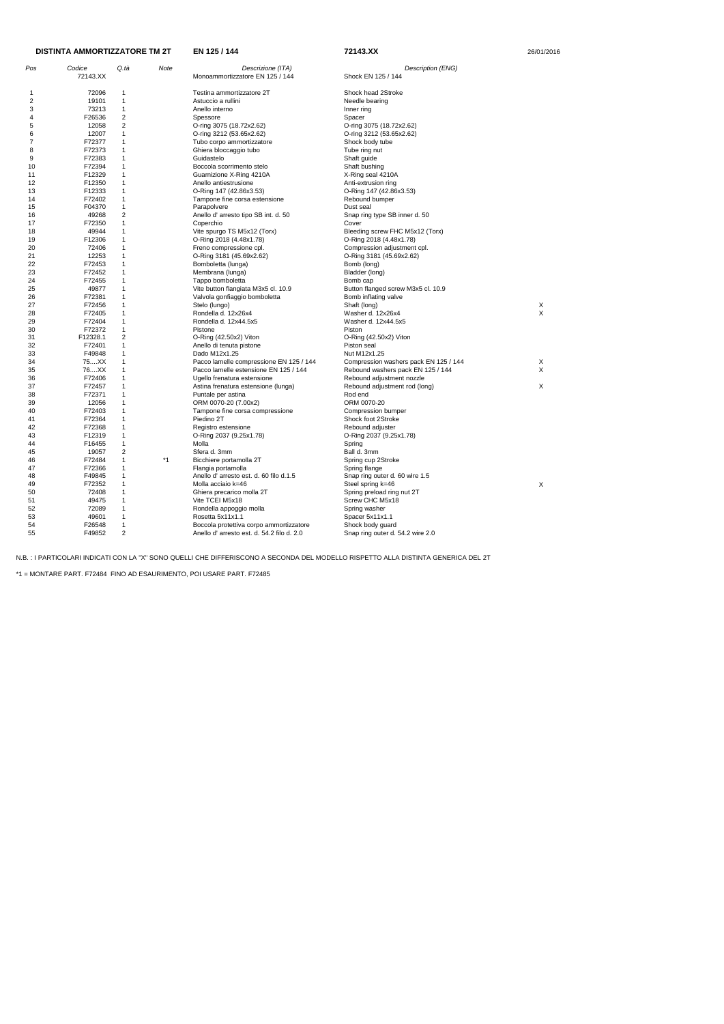| Pos | Codice   | Q tà           | Note | Descrizione (ITA)                         | Description (ENG)                     |                           |
|-----|----------|----------------|------|-------------------------------------------|---------------------------------------|---------------------------|
|     | 72143.XX |                |      | Monoammortizzatore EN 125 / 144           | Shock EN 125 / 144                    |                           |
| 1   | 72096    | 1              |      | Testina ammortizzatore 2T                 | Shock head 2Stroke                    |                           |
| 2   | 19101    | 1              |      | Astuccio a rullini                        | Needle bearing                        |                           |
| 3   | 73213    | $\mathbf 1$    |      | Anello interno                            | Inner ring                            |                           |
| 4   | F26536   | $\overline{2}$ |      | Spessore                                  | Spacer                                |                           |
| 5   | 12058    | $\overline{2}$ |      | O-ring 3075 (18.72x2.62)                  | O-ring 3075 (18.72x2.62)              |                           |
| 6   | 12007    | 1              |      |                                           |                                       |                           |
|     |          |                |      | O-ring 3212 (53.65x2.62)                  | O-ring 3212 (53.65x2.62)              |                           |
| 7   | F72377   | 1              |      | Tubo corpo ammortizzatore                 | Shock body tube                       |                           |
| 8   | F72373   | 1              |      | Ghiera bloccaggio tubo                    | Tube ring nut                         |                           |
| 9   | F72383   | 1              |      | Guidastelo                                | Shaft guide                           |                           |
| 10  | F72394   | 1              |      | Boccola scorrimento stelo                 | Shaft bushing                         |                           |
| 11  | F12329   | 1              |      | Guarnizione X-Ring 4210A                  | X-Ring seal 4210A                     |                           |
| 12  | F12350   | 1              |      | Anello antiestrusione                     | Anti-extrusion ring                   |                           |
| 13  | F12333   | 1              |      | O-Ring 147 (42.86x3.53)                   | O-Ring 147 (42.86x3.53)               |                           |
| 14  | F72402   | 1              |      | Tampone fine corsa estensione             | Rebound bumper                        |                           |
| 15  | F04370   | $\mathbf 1$    |      | Parapolvere                               | Dust seal                             |                           |
| 16  | 49268    | $\overline{2}$ |      | Anello d' arresto tipo SB int. d. 50      | Snap ring type SB inner d. 50         |                           |
| 17  | F72350   | $\mathbf{1}$   |      | Coperchio                                 | Cover                                 |                           |
| 18  | 49944    | 1              |      | Vite spurgo TS M5x12 (Torx)               | Bleeding screw FHC M5x12 (Torx)       |                           |
| 19  | F12306   | 1              |      | O-Ring 2018 (4.48x1.78)                   | O-Ring 2018 (4.48x1.78)               |                           |
| 20  | 72406    | 1              |      | Freno compressione cpl.                   | Compression adjustment cpl.           |                           |
| 21  | 12253    | 1              |      | O-Ring 3181 (45.69x2.62)                  | O-Ring 3181 (45.69x2.62)              |                           |
| 22  | F72453   | 1              |      |                                           |                                       |                           |
|     | F72452   | 1              |      | Bomboletta (lunga)                        | Bomb (long)                           |                           |
| 23  |          |                |      | Membrana (lunga)                          | Bladder (long)                        |                           |
| 24  | F72455   | 1              |      | Tappo bomboletta                          | Bomb cap                              |                           |
| 25  | 49877    | $\mathbf{1}$   |      | Vite button flangiata M3x5 cl. 10.9       | Button flanged screw M3x5 cl. 10.9    |                           |
| 26  | F72381   | 1              |      | Valvola gonfiaggio bomboletta             | Bomb inflating valve                  |                           |
| 27  | F72456   | 1              |      | Stelo (lungo)                             | Shaft (long)                          | X                         |
| 28  | F72405   | 1              |      | Rondella d. 12x26x4                       | Washer d. 12x26x4                     | $\boldsymbol{\mathsf{X}}$ |
| 29  | F72404   | 1              |      | Rondella d. 12x44.5x5                     | Washer d. 12x44.5x5                   |                           |
| 30  | F72372   | 1              |      | Pistone                                   | Piston                                |                           |
| 31  | F12328.1 | $\overline{2}$ |      | O-Ring (42.50x2) Viton                    | O-Ring (42.50x2) Viton                |                           |
| 32  | F72401   | $\mathbf{1}$   |      | Anello di tenuta pistone                  | Piston seal                           |                           |
| 33  | F49848   | 1              |      | Dado M12x1.25                             | Nut M12x1.25                          |                           |
| 34  | 75XX     | 1              |      | Pacco lamelle compressione EN 125 / 144   | Compression washers pack EN 125 / 144 | X                         |
| 35  | 76XX     | 1              |      | Pacco lamelle estensione EN 125 / 144     | Rebound washers pack EN 125 / 144     | X                         |
| 36  | F72406   | 1              |      | Ugello frenatura estensione               | Rebound adjustment nozzle             |                           |
| 37  | F72457   | 1              |      | Astina frenatura estensione (lunga)       | Rebound adjustment rod (long)         | X                         |
| 38  | F72371   | 1              |      | Puntale per astina                        | Rod end                               |                           |
| 39  | 12056    | 1              |      | ORM 0070-20 (7.00x2)                      | ORM 0070-20                           |                           |
| 40  | F72403   | 1              |      | Tampone fine corsa compressione           | Compression bumper                    |                           |
| 41  | F72364   | 1              |      | Piedino 2T                                | Shock foot 2Stroke                    |                           |
| 42  | F72368   | 1              |      |                                           |                                       |                           |
|     |          | $\overline{1}$ |      | Registro estensione                       | Rebound adjuster                      |                           |
| 43  | F12319   |                |      | O-Ring 2037 (9.25x1.78)                   | O-Ring 2037 (9.25x1.78)               |                           |
| 44  | F16455   | 1              |      | Molla                                     | Spring                                |                           |
| 45  | 19057    | $\overline{2}$ |      | Sfera d. 3mm                              | Ball d. 3mm                           |                           |
| 46  | F72484   | 1              | *1   | Bicchiere portamolla 2T                   | Spring cup 2Stroke                    |                           |
| 47  | F72366   | 1              |      | Flangia portamolla                        | Spring flange                         |                           |
| 48  | F49845   | $\mathbf{1}$   |      | Anello d' arresto est. d. 60 filo d.1.5   | Snap ring outer d. 60 wire 1.5        |                           |
| 49  | F72352   | 1              |      | Molla acciaio k=46                        | Steel spring k=46                     | X                         |
| 50  | 72408    | 1              |      | Ghiera precarico molla 2T                 | Spring preload ring nut 2T            |                           |
| 51  | 49475    | $\mathbf{1}$   |      | Vite TCEI M5x18                           | Screw CHC M5x18                       |                           |
| 52  | 72089    | 1              |      | Rondella appoggio molla                   | Spring washer                         |                           |
| 53  | 49601    | $\mathbf{1}$   |      | Rosetta 5x11x1.1                          | Spacer 5x11x1.1                       |                           |
| 54  | F26548   | $\mathbf{1}$   |      | Boccola protettiva corpo ammortizzatore   | Shock body guard                      |                           |
| 55  | F49852   | $\overline{2}$ |      | Anello d'arresto est. d. 54.2 filo d. 2.0 | Snap ring outer d. 54.2 wire 2.0      |                           |
|     |          |                |      |                                           |                                       |                           |

## **EN 125 / 144 72143.XX** 26/01/2016 **DISTINTA AMMORTIZZATORE TM 2T**

N.B. : I PARTICOLARI INDICATI CON LA "X" SONO QUELLI CHE DIFFERISCONO A SECONDA DEL MODELLO RISPETTO ALLA DISTINTA GENERICA DEL 2T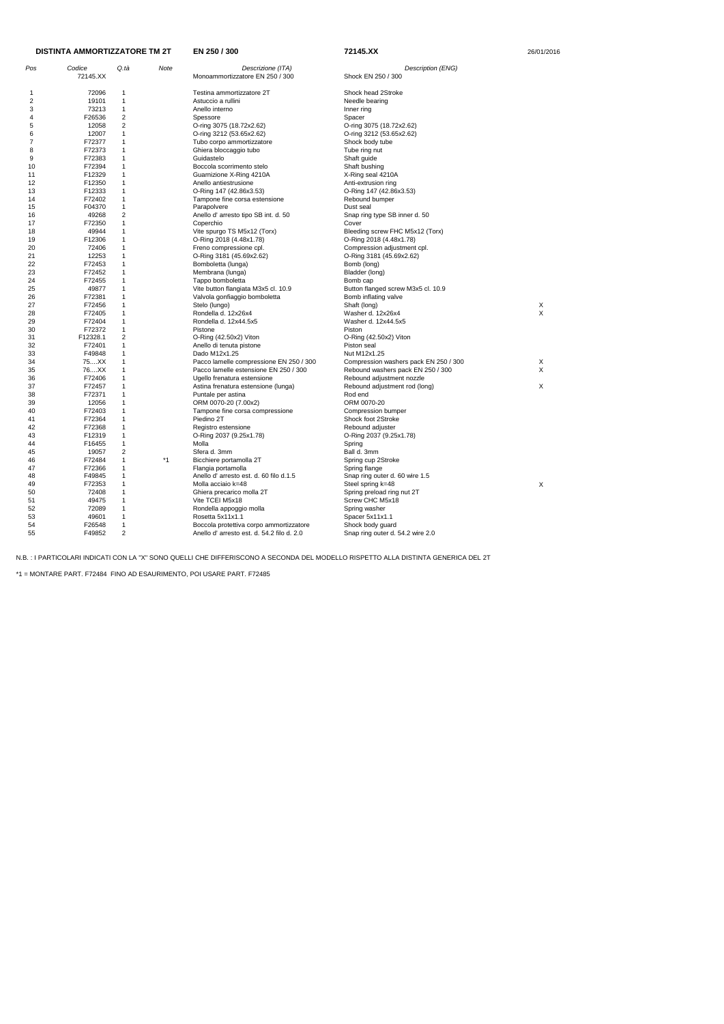| <b>DISTINTA AMMORTIZZATORE TM 2T</b> |                    |                         |      | EN 250 / 300                                         | 72145.XX                              | 26/01/2016 |  |
|--------------------------------------|--------------------|-------------------------|------|------------------------------------------------------|---------------------------------------|------------|--|
| Pos                                  | Codice<br>72145.XX | Q.tà                    | Note | Descrizione (ITA)<br>Monoammortizzatore EN 250 / 300 | Description (ENG)                     |            |  |
|                                      |                    |                         |      |                                                      | Shock EN 250 / 300                    |            |  |
| -1                                   | 72096              | 1                       |      | Testina ammortizzatore 2T                            | Shock head 2Stroke                    |            |  |
| 2                                    | 19101              | $\mathbf{1}$            |      | Astuccio a rullini                                   | Needle bearing                        |            |  |
| 3                                    | 73213              | $\mathbf{1}$            |      | Anello interno                                       | Inner ring                            |            |  |
| 4                                    | F26536             | 2                       |      | Spessore                                             | Spacer                                |            |  |
| 5                                    | 12058              | $\overline{\mathbf{c}}$ |      | O-ring 3075 (18.72x2.62)                             | O-ring 3075 (18.72x2.62)              |            |  |
| 6                                    | 12007              | $\mathbf{1}$            |      | O-ring 3212 (53.65x2.62)                             | O-ring 3212 (53.65x2.62)              |            |  |
| 7                                    | F72377             | $\mathbf{1}$            |      | Tubo corpo ammortizzatore                            | Shock body tube                       |            |  |
| 8                                    | F72373             | $\mathbf{1}$            |      | Ghiera bloccaggio tubo                               | Tube ring nut                         |            |  |
| 9                                    | F72383             | 1                       |      | Guidastelo                                           | Shaft guide                           |            |  |
| 10                                   | F72394             | 1                       |      | Boccola scorrimento stelo                            | Shaft bushing                         |            |  |
| 11                                   | F12329             | 1                       |      | Guarnizione X-Ring 4210A                             | X-Ring seal 4210A                     |            |  |
| 12                                   | F12350             | 1                       |      | Anello antiestrusione                                | Anti-extrusion ring                   |            |  |
| 13                                   | F12333             | $\mathbf{1}$            |      | O-Ring 147 (42.86x3.53)                              | O-Ring 147 (42.86x3.53)               |            |  |
| 14                                   | F72402             | $\mathbf{1}$            |      | Tampone fine corsa estensione                        | Rebound bumper                        |            |  |
| 15                                   | F04370             | $\mathbf{1}$            |      | Parapolvere                                          | Dust seal                             |            |  |
| 16                                   | 49268              | 2                       |      | Anello d' arresto tipo SB int. d. 50                 | Snap ring type SB inner d. 50         |            |  |
| 17                                   | F72350             | $\mathbf{1}$            |      | Coperchio                                            | Cover                                 |            |  |
| 18                                   | 49944              | 1                       |      | Vite spurgo TS M5x12 (Torx)                          |                                       |            |  |
| 19                                   | F12306             | 1                       |      | O-Ring 2018 (4.48x1.78)                              | Bleeding screw FHC M5x12 (Torx)       |            |  |
| 20                                   | 72406              | $\mathbf{1}$            |      |                                                      | O-Ring 2018 (4.48x1.78)               |            |  |
|                                      |                    | 1                       |      | Freno compressione cpl.                              | Compression adjustment cpl.           |            |  |
| 21                                   | 12253              | $\mathbf{1}$            |      | O-Ring 3181 (45.69x2.62)<br>Bomboletta (lunga)       | O-Ring 3181 (45.69x2.62)              |            |  |
| 22                                   | F72453             | 1                       |      |                                                      | Bomb (long)                           |            |  |
| 23                                   | F72452             |                         |      | Membrana (lunga)                                     | Bladder (long)                        |            |  |
| 24                                   | F72455             | $\mathbf{1}$            |      | Tappo bomboletta                                     | Bomb cap                              |            |  |
| 25                                   | 49877              | $\mathbf 1$             |      | Vite button flangiata M3x5 cl. 10.9                  | Button flanged screw M3x5 cl. 10.9    |            |  |
| 26                                   | F72381             | 1                       |      | Valvola gonfiaggio bomboletta                        | Bomb inflating valve                  |            |  |
| 27                                   | F72456             | $\mathbf{1}$            |      | Stelo (lungo)                                        | Shaft (long)                          | Х          |  |
| 28                                   | F72405             | 1                       |      | Rondella d. 12x26x4                                  | Washer d. 12x26x4                     | X          |  |
| 29                                   | F72404             | $\mathbf{1}$            |      | Rondella d. 12x44.5x5                                | Washer d. 12x44.5x5                   |            |  |
| 30                                   | F72372             | $\mathbf{1}$            |      | Pistone                                              | Piston                                |            |  |
| 31                                   | F12328.1           | $\overline{2}$          |      | O-Ring (42.50x2) Viton                               | O-Ring (42.50x2) Viton                |            |  |
| 32                                   | F72401             | $\mathbf{1}$            |      | Anello di tenuta pistone                             | Piston seal                           |            |  |
| 33                                   | F49848             | $\mathbf{1}$            |      | Dado M12x1.25                                        | Nut M12x1.25                          |            |  |
| 34                                   | 75XX               | $\mathbf{1}$            |      | Pacco lamelle compressione EN 250 / 300              | Compression washers pack EN 250 / 300 | X          |  |
| 35                                   | 76XX               | 1                       |      | Pacco lamelle estensione EN 250 / 300                | Rebound washers pack EN 250 / 300     | X          |  |
| 36                                   | F72406             | $\mathbf{1}$            |      | Ugello frenatura estensione                          | Rebound adjustment nozzle             |            |  |
| 37                                   | F72457             | 1                       |      | Astina frenatura estensione (lunga)                  | Rebound adjustment rod (long)         | X          |  |
| 38                                   | F72371             | 1                       |      | Puntale per astina                                   | Rod end                               |            |  |
| 39                                   | 12056              | 1                       |      | ORM 0070-20 (7.00x2)                                 | ORM 0070-20                           |            |  |
| 40                                   | F72403             | 1                       |      | Tampone fine corsa compressione                      | Compression bumper                    |            |  |
| 41                                   | F72364             | 1                       |      | Piedino 2T                                           | Shock foot 2Stroke                    |            |  |
| 42                                   | F72368             | 1                       |      | Registro estensione                                  | Rebound adjuster                      |            |  |
| 43                                   | F12319             | $\mathbf 1$             |      | O-Ring 2037 (9.25x1.78)                              | O-Ring 2037 (9.25x1.78)               |            |  |
| 44                                   | F16455             | $\mathbf 1$             |      | Molla                                                | Spring                                |            |  |
| 45                                   | 19057              | 2                       |      | Sfera d. 3mm                                         | Ball d. 3mm                           |            |  |
| 46                                   | F72484             | $\mathbf{1}$            | $*1$ | Bicchiere portamolla 2T                              | Spring cup 2Stroke                    |            |  |
| 47                                   | F72366             | 1                       |      | Flangia portamolla                                   | Spring flange                         |            |  |
| 48                                   | F49845             | $\mathbf{1}$            |      | Anello d'arresto est. d. 60 filo d.1.5               | Snap ring outer d. 60 wire 1.5        |            |  |
| 49                                   | F72353             | $\mathbf{1}$            |      | Molla acciaio k=48                                   | Steel spring k=48                     | X          |  |
| 50                                   | 72408              | $\mathbf{1}$            |      | Ghiera precarico molla 2T                            | Spring preload ring nut 2T            |            |  |
| 51                                   | 49475              | $\mathbf 1$             |      | Vite TCEI M5x18                                      | Screw CHC M5x18                       |            |  |
| 52                                   | 72089              | $\mathbf{1}$            |      | Rondella appoggio molla                              | Spring washer                         |            |  |
| 53                                   | 49601              | $\mathbf 1$             |      | Rosetta 5x11x1.1                                     | Spacer 5x11x1.1                       |            |  |
| 54                                   | F26548             | 1                       |      | Boccola protettiva corpo ammortizzatore              | Shock body guard                      |            |  |
| 55                                   | F49852             | $\overline{2}$          |      | Anello d'arresto est. d. 54.2 filo d. 2.0            | Snap ring outer d. 54.2 wire 2.0      |            |  |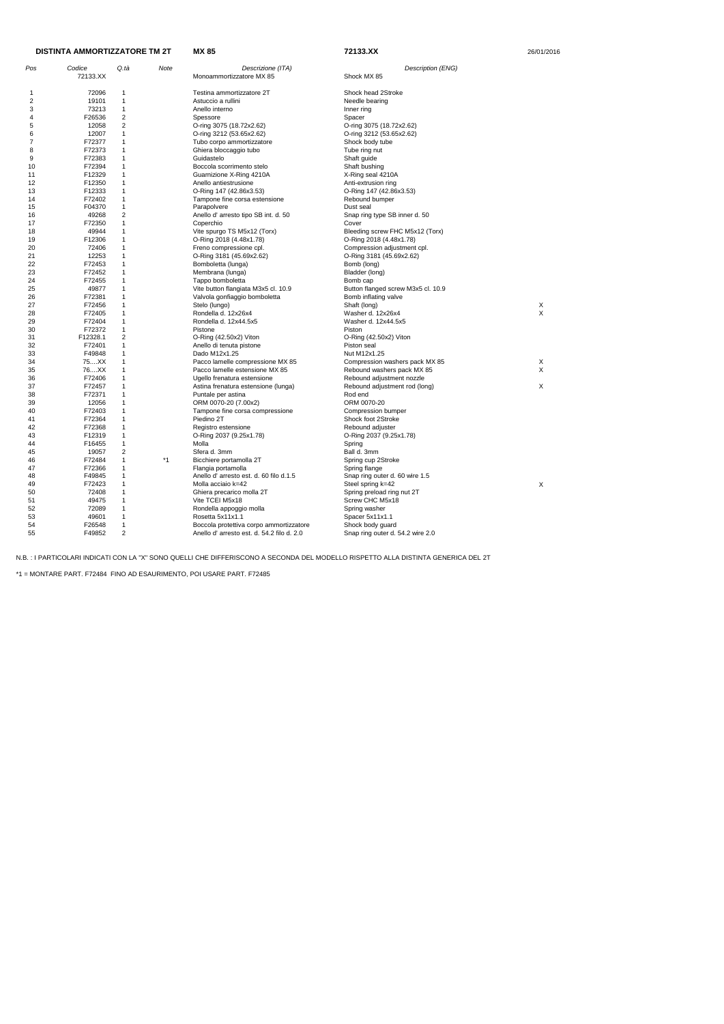| DISTINTA AMMORTIZZATORE TM 2T |                | <b>MX 85</b>                 | 72133.XX | 26/01/2016                                                         |                                                            |        |
|-------------------------------|----------------|------------------------------|----------|--------------------------------------------------------------------|------------------------------------------------------------|--------|
| Pos                           | Codice         | Q.tà                         | Note     | Descrizione (ITA)                                                  | Description (ENG)                                          |        |
|                               | 72133.XX       |                              |          | Monoammortizzatore MX 85                                           | Shock MX 85                                                |        |
| 1                             | 72096          | -1                           |          | Testina ammortizzatore 2T                                          | Shock head 2Stroke                                         |        |
| 2                             | 19101          | $\mathbf{1}$                 |          | Astuccio a rullini                                                 | Needle bearing                                             |        |
| 3                             | 73213          | $\mathbf{1}$                 |          | Anello interno                                                     | Inner ring                                                 |        |
| 4                             | F26536         | $\overline{2}$               |          | Spessore                                                           | Spacer                                                     |        |
| 5                             | 12058          | $\overline{2}$               |          | O-ring 3075 (18.72x2.62)                                           | O-ring 3075 (18.72x2.62)                                   |        |
| 6                             | 12007          | $\mathbf{1}$                 |          | O-ring 3212 (53.65x2.62)                                           | O-ring 3212 (53.65x2.62)                                   |        |
| 7                             | F72377         | $\mathbf{1}$                 |          | Tubo corpo ammortizzatore                                          | Shock body tube                                            |        |
| 8                             | F72373         | $\mathbf{1}$                 |          | Ghiera bloccaggio tubo                                             | Tube ring nut                                              |        |
| 9                             | F72383         | $\mathbf{1}$                 |          | Guidastelo                                                         | Shaft guide                                                |        |
| 10                            | F72394         | $\mathbf{1}$                 |          | Boccola scorrimento stelo                                          | Shaft bushing                                              |        |
| 11                            | F12329         | $\mathbf{1}$                 |          | Guarnizione X-Ring 4210A                                           | X-Ring seal 4210A                                          |        |
| 12                            | F12350         | $\mathbf{1}$                 |          | Anello antiestrusione                                              | Anti-extrusion ring                                        |        |
| 13                            | F12333         | $\mathbf{1}$                 |          | O-Ring 147 (42.86x3.53)                                            | O-Ring 147 (42.86x3.53)                                    |        |
| 14                            | F72402         | $\mathbf{1}$                 |          | Tampone fine corsa estensione                                      | Rebound bumper                                             |        |
| 15                            | F04370         | $\mathbf{1}$                 |          | Parapolvere                                                        | Dust seal                                                  |        |
| 16                            | 49268          | $\overline{2}$               |          | Anello d' arresto tipo SB int. d. 50                               | Snap ring type SB inner d. 50                              |        |
| 17                            | F72350         | $\mathbf{1}$                 |          | Coperchio                                                          | Cover                                                      |        |
| 18                            | 49944          | $\mathbf{1}$                 |          | Vite spurgo TS M5x12 (Torx)                                        | Bleeding screw FHC M5x12 (Torx)                            |        |
| 19                            | F12306         | $\mathbf{1}$                 |          | O-Ring 2018 (4.48x1.78)                                            | O-Ring 2018 (4.48x1.78)                                    |        |
| 20                            | 72406          | $\mathbf{1}$                 |          | Freno compressione cpl.                                            | Compression adjustment cpl.                                |        |
| 21                            | 12253          | $\mathbf{1}$                 |          | O-Ring 3181 (45.69x2.62)                                           | O-Ring 3181 (45.69x2.62)                                   |        |
| 22                            | F72453         | $\mathbf{1}$                 |          | Bomboletta (lunga)                                                 | Bomb (long)                                                |        |
| 23                            | F72452         | $\mathbf{1}$                 |          | Membrana (lunga)                                                   | Bladder (long)                                             |        |
| 24                            | F72455         | $\mathbf{1}$                 |          | Tappo bomboletta                                                   | Bomb cap                                                   |        |
| 25                            | 49877          | $\mathbf{1}$                 |          | Vite button flangiata M3x5 cl. 10.9                                | Button flanged screw M3x5 cl. 10.9                         |        |
| 26                            | F72381         | $\mathbf{1}$                 |          | Valvola gonfiaggio bomboletta                                      | Bomb inflating valve                                       |        |
| 27                            | F72456         | $\mathbf{1}$                 |          | Stelo (lungo)                                                      | Shaft (long)                                               | X      |
| 28                            | F72405         | $\mathbf{1}$                 |          | Rondella d. 12x26x4                                                | Washer d. 12x26x4                                          | X      |
| 29                            | F72404         | $\mathbf{1}$                 |          | Rondella d. 12x44.5x5                                              | Washer d. 12x44.5x5                                        |        |
| 30                            | F72372         | $\mathbf{1}$                 |          | Pistone                                                            | Piston                                                     |        |
| 31                            | F12328.1       | $\overline{2}$               |          | O-Ring (42.50x2) Viton                                             | $O-Ring (42.50x2)$ Viton                                   |        |
| 32                            | F72401         | $\mathbf{1}$                 |          | Anello di tenuta pistone                                           | Piston seal                                                |        |
| 33<br>34                      | F49848<br>75XX | $\mathbf{1}$<br>$\mathbf{1}$ |          | Dado M12x1.25                                                      | Nut M12x1.25                                               |        |
|                               | 76XX           | $\mathbf{1}$                 |          | Pacco lamelle compressione MX 85                                   | Compression washers pack MX 85                             | Χ<br>X |
| 35<br>36                      | F72406         | $\mathbf{1}$                 |          | Pacco lamelle estensione MX 85                                     | Rebound washers pack MX 85                                 |        |
| 37                            | F72457         | $\mathbf{1}$                 |          | Ugello frenatura estensione<br>Astina frenatura estensione (lunga) | Rebound adjustment nozzle<br>Rebound adjustment rod (long) | X      |
| 38                            | F72371         | $\mathbf{1}$                 |          | Puntale per astina                                                 | Rod end                                                    |        |
| 39                            | 12056          | $\mathbf{1}$                 |          | ORM 0070-20 (7.00x2)                                               | ORM 0070-20                                                |        |
| 40                            | F72403         | $\mathbf{1}$                 |          | Tampone fine corsa compressione                                    | Compression bumper                                         |        |
| 41                            | F72364         | $\mathbf{1}$                 |          | Piedino 2T                                                         | Shock foot 2Stroke                                         |        |
| 42                            | F72368         | $\mathbf{1}$                 |          | Registro estensione                                                | Rebound adjuster                                           |        |
| 43                            | F12319         | $\mathbf{1}$                 |          | O-Ring 2037 (9.25x1.78)                                            | O-Ring 2037 (9.25x1.78)                                    |        |
| 44                            | F16455         | $\mathbf{1}$                 |          | Molla                                                              | Spring                                                     |        |
| 45                            | 19057          | 2                            |          | Sfera d. 3mm                                                       | Ball d. 3mm                                                |        |
| 46                            | F72484         | $\mathbf{1}$                 | *1       | Bicchiere portamolla 2T                                            | Spring cup 2Stroke                                         |        |
| 47                            | F72366         | 1                            |          | Flangia portamolla                                                 | Spring flange                                              |        |
| 48                            | F49845         | $\mathbf{1}$                 |          | Anello d'arresto est. d. 60 filo d.1.5                             | Snap ring outer d. 60 wire 1.5                             |        |
| 49                            | F72423         | $\mathbf{1}$                 |          | Molla acciaio k=42                                                 | Steel spring k=42                                          | X      |
| 50                            | 72408          | $\mathbf{1}$                 |          | Ghiera precarico molla 2T                                          | Spring preload ring nut 2T                                 |        |
| 51                            | 49475          | $\mathbf{1}$                 |          | Vite TCEI M5x18                                                    | Screw CHC M5x18                                            |        |
| 52                            | 72089          | $\mathbf{1}$                 |          | Rondella appoggio molla                                            | Spring washer                                              |        |
| 53                            | 49601          | $\mathbf{1}$                 |          | Rosetta 5x11x1.1                                                   | Spacer 5x11x1.1                                            |        |
| 54                            | F26548         | $\mathbf{1}$                 |          | Boccola protettiva corpo ammortizzatore                            | Shock body guard                                           |        |
| 55                            | F49852         | $\overline{2}$               |          | Anello d'arresto est. d. 54.2 filo d. 2.0                          | Snap ring outer d. 54.2 wire 2.0                           |        |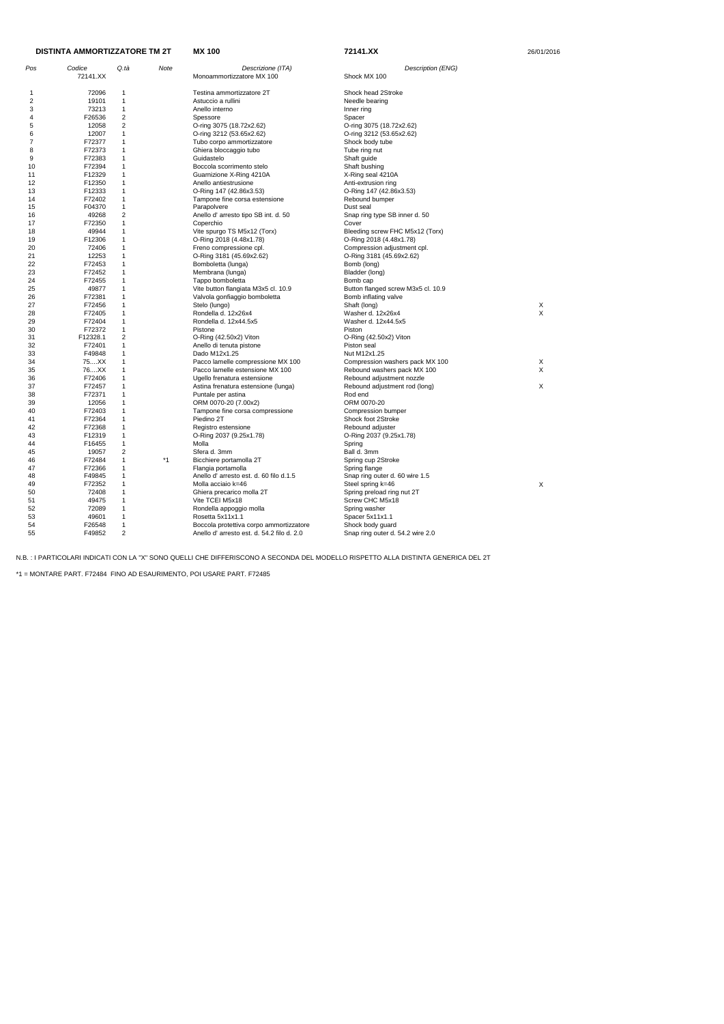| <b>DISTINTA AMMORTIZZATORE TM 2T</b> |          |                         | <b>MX 100</b> | 72141.XX                                  | 26/01/2016                         |   |
|--------------------------------------|----------|-------------------------|---------------|-------------------------------------------|------------------------------------|---|
| Pos                                  | Codice   | Q.tà                    | Note          | Descrizione (ITA)                         | Description (ENG)                  |   |
|                                      | 72141.XX |                         |               | Monoammortizzatore MX 100                 | Shock MX 100                       |   |
| -1                                   | 72096    | 1                       |               | Testina ammortizzatore 2T                 | Shock head 2Stroke                 |   |
| 2                                    | 19101    | $\mathbf{1}$            |               | Astuccio a rullini                        | Needle bearing                     |   |
| 3                                    | 73213    | $\mathbf{1}$            |               | Anello interno                            | Inner ring                         |   |
| 4                                    | F26536   | $\overline{2}$          |               | Spessore                                  | Spacer                             |   |
| 5                                    | 12058    | $\overline{2}$          |               | O-ring 3075 (18.72x2.62)                  | O-ring 3075 (18.72x2.62)           |   |
| 6                                    | 12007    | 1                       |               | O-ring 3212 (53.65x2.62)                  | O-ring 3212 (53.65x2.62)           |   |
| 7                                    | F72377   | 1                       |               | Tubo corpo ammortizzatore                 | Shock body tube                    |   |
| 8                                    | F72373   | $\mathbf 1$             |               | Ghiera bloccaggio tubo                    | Tube ring nut                      |   |
| 9                                    | F72383   | 1                       |               | Guidastelo                                | Shaft guide                        |   |
| 10                                   | F72394   | $\mathbf{1}$            |               | Boccola scorrimento stelo                 | Shaft bushing                      |   |
| 11                                   | F12329   | $\mathbf 1$             |               | Guarnizione X-Ring 4210A                  | X-Ring seal 4210A                  |   |
| 12                                   | F12350   | 1                       |               | Anello antiestrusione                     | Anti-extrusion ring                |   |
| 13                                   | F12333   | $\mathbf{1}$            |               | O-Ring 147 (42.86x3.53)                   | O-Ring 147 (42.86x3.53)            |   |
| 14                                   | F72402   | 1                       |               | Tampone fine corsa estensione             | Rebound bumper                     |   |
| 15                                   | F04370   | $\mathbf{1}$            |               | Parapolvere                               | Dust seal                          |   |
| 16                                   | 49268    | $\overline{2}$          |               | Anello d' arresto tipo SB int. d. 50      | Snap ring type SB inner d. 50      |   |
| 17                                   | F72350   | $\mathbf{1}$            |               | Coperchio                                 | Cover                              |   |
| 18                                   | 49944    | 1                       |               | Vite spurgo TS M5x12 (Torx)               | Bleeding screw FHC M5x12 (Torx)    |   |
| 19                                   | F12306   | 1                       |               | O-Ring 2018 (4.48x1.78)                   | O-Ring 2018 (4.48x1.78)            |   |
| 20                                   | 72406    | 1                       |               | Freno compressione cpl.                   | Compression adjustment cpl.        |   |
| 21                                   | 12253    | 1                       |               | O-Ring 3181 (45.69x2.62)                  | O-Ring 3181 (45.69x2.62)           |   |
| 22                                   | F72453   | $\mathbf{1}$            |               | Bomboletta (lunga)                        | Bomb (long)                        |   |
| 23                                   | F72452   | $\mathbf{1}$            |               | Membrana (lunga)                          | Bladder (long)                     |   |
| 24                                   | F72455   | $\mathbf{1}$            |               | Tappo bomboletta                          | Bomb cap                           |   |
| 25                                   | 49877    | 1                       |               | Vite button flangiata M3x5 cl. 10.9       | Button flanged screw M3x5 cl. 10.9 |   |
| 26                                   | F72381   | 1                       |               | Valvola gonfiaggio bomboletta             | Bomb inflating valve               |   |
| 27                                   | F72456   | 1                       |               | Stelo (lungo)                             | Shaft (long)                       | X |
| 28                                   | F72405   | $\mathbf{1}$            |               | Rondella d. 12x26x4                       | Washer d. 12x26x4                  | X |
| 29                                   | F72404   | $\mathbf{1}$            |               | Rondella d. 12x44.5x5                     | Washer d. 12x44.5x5                |   |
| 30                                   | F72372   | 1                       |               | Pistone                                   | Piston                             |   |
| 31                                   | F12328.1 | $\overline{\mathbf{c}}$ |               | O-Ring (42.50x2) Viton                    | O-Ring (42.50x2) Viton             |   |
| 32                                   | F72401   | $\mathbf 1$             |               | Anello di tenuta pistone                  | Piston seal                        |   |
| 33                                   | F49848   | 1                       |               | Dado M12x1.25                             | Nut M12x1.25                       |   |
| 34                                   | 75XX     | $\mathbf{1}$            |               | Pacco lamelle compressione MX 100         | Compression washers pack MX 100    | Χ |
| 35                                   | 76XX     | $\mathbf{1}$            |               | Pacco lamelle estensione MX 100           | Rebound washers pack MX 100        | X |
| 36                                   | F72406   | 1                       |               | Ugello frenatura estensione               | Rebound adjustment nozzle          |   |
| 37                                   | F72457   | 1                       |               | Astina frenatura estensione (lunga)       | Rebound adjustment rod (long)      | X |
| 38                                   | F72371   | 1                       |               | Puntale per astina                        | Rod end                            |   |
| 39                                   | 12056    | 1                       |               | ORM 0070-20 (7.00x2)                      | ORM 0070-20                        |   |
| 40                                   | F72403   | 1                       |               | Tampone fine corsa compressione           | Compression bumper                 |   |
| 41                                   | F72364   | 1                       |               | Piedino 2T                                | Shock foot 2Stroke                 |   |
| 42                                   | F72368   | 1                       |               | Registro estensione                       | Rebound adjuster                   |   |
| 43                                   | F12319   | $\mathbf{1}$            |               | O-Ring 2037 (9.25x1.78)                   | O-Ring 2037 (9.25x1.78)            |   |
| 44                                   | F16455   | $\mathbf{1}$            |               | Molla                                     | Spring                             |   |
| 45                                   | 19057    | $\overline{c}$          |               | Sfera d. 3mm                              | Ball d. 3mm                        |   |
| 46                                   | F72484   | 1                       | $*1$          | Bicchiere portamolla 2T                   | Spring cup 2Stroke                 |   |
| 47                                   | F72366   | $\mathbf{1}$            |               | Flangia portamolla                        | Spring flange                      |   |
| 48                                   | F49845   | $\mathbf{1}$            |               | Anello d'arresto est. d. 60 filo d.1.5    | Snap ring outer d. 60 wire 1.5     |   |
| 49                                   | F72352   | $\mathbf{1}$            |               | Molla acciaio k=46                        | Steel spring k=46                  | X |
| 50                                   | 72408    | $\mathbf{1}$            |               | Ghiera precarico molla 2T                 | Spring preload ring nut 2T         |   |
| 51                                   | 49475    | $\mathbf{1}$            |               | Vite TCEI M5x18                           | Screw CHC M5x18                    |   |
| 52                                   | 72089    | $\mathbf{1}$            |               | Rondella appoggio molla                   | Spring washer                      |   |
| 53<br>54                             | 49601    | $\mathbf{1}$            |               | Rosetta 5x11x1.1                          | Spacer 5x11x1.1                    |   |
| 55                                   | F26548   | $\mathbf{1}$            |               | Boccola protettiva corpo ammortizzatore   | Shock body guard                   |   |
|                                      | F49852   | $\overline{c}$          |               | Anello d'arresto est. d. 54.2 filo d. 2.0 | Snap ring outer d. 54.2 wire 2.0   |   |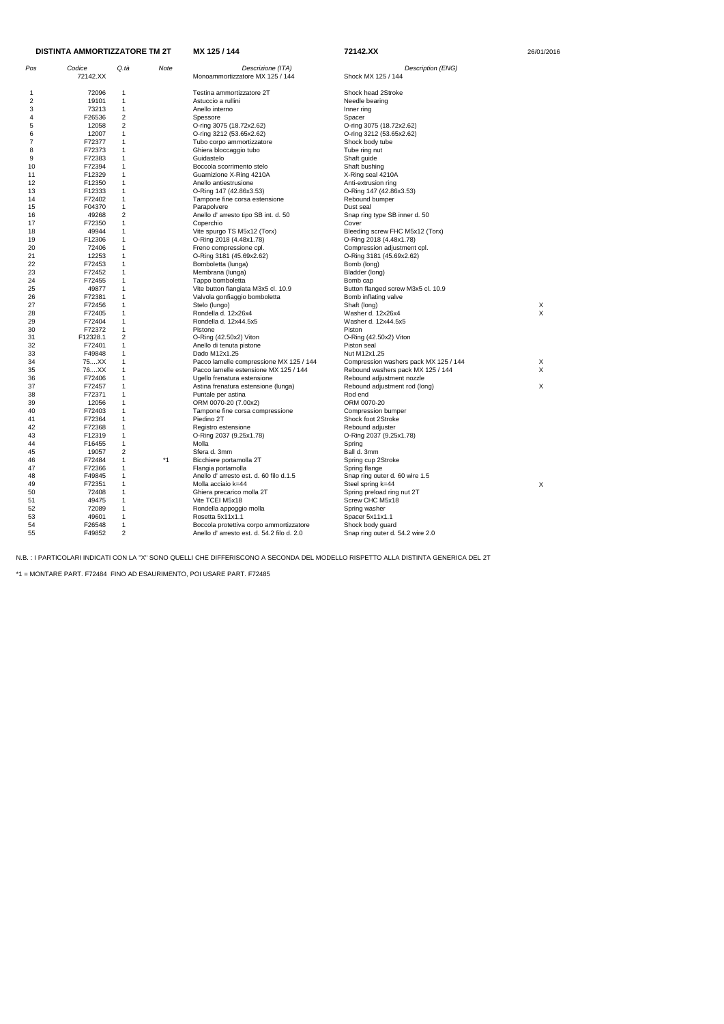| Codice<br>Q.tà<br>Pos<br>Note<br>Descrizione (ITA)<br>Description (ENG)<br>72142.XX<br>Monoammortizzatore MX 125 / 144<br>Shock MX 125 / 144<br>72096<br>Testina ammortizzatore 2T<br>Shock head 2Stroke<br>1<br>-1<br>2<br>19101<br>$\mathbf{1}$<br>Astuccio a rullini<br>Needle bearing<br>73213<br>$\mathbf{1}$<br>3<br>Anello interno<br>Inner ring<br>$\overline{\mathbf{c}}$<br>F26536<br>4<br>Spessore<br>Spacer<br>$\overline{\mathbf{c}}$<br>12058<br>O-ring 3075 (18.72x2.62)<br>5<br>O-ring 3075 (18.72x2.62)<br>6<br>12007<br>1<br>O-ring 3212 (53.65x2.62)<br>O-ring 3212 (53.65x2.62)<br>7<br>F72377<br>1<br>Tubo corpo ammortizzatore<br>Shock body tube<br>8<br>F72373<br>1<br>Ghiera bloccaggio tubo<br>Tube ring nut<br>9<br>F72383<br>$\mathbf{1}$<br>Guidastelo<br>Shaft guide<br>F72394<br>1<br>10<br>Boccola scorrimento stelo<br>Shaft bushing<br>F12329<br>1<br>11<br>Guarnizione X-Ring 4210A<br>X-Ring seal 4210A<br>12<br>F12350<br>1<br>Anello antiestrusione<br>Anti-extrusion ring<br>F12333<br>1<br>13<br>O-Ring 147 (42.86x3.53)<br>O-Ring 147 (42.86x3.53)<br>F72402<br>$\mathbf{1}$<br>14<br>Tampone fine corsa estensione<br>Rebound bumper<br>F04370<br>$\mathbf 1$<br>15<br>Parapolvere<br>Dust seal<br>$\overline{2}$<br>49268<br>Anello d' arresto tipo SB int. d. 50<br>Snap ring type SB inner d. 50<br>16<br>$\mathbf{1}$<br>F72350<br>Cover<br>17<br>Coperchio<br>49944<br>1<br>Vite spurgo TS M5x12 (Torx)<br>Bleeding screw FHC M5x12 (Torx)<br>18<br>F12306<br>1<br>19<br>O-Ring 2018 (4.48x1.78)<br>O-Ring 2018 (4.48x1.78)<br>20<br>72406<br>1<br>Freno compressione cpl.<br>Compression adjustment cpl.<br>12253<br>21<br>$\mathbf{1}$<br>O-Ring 3181 (45.69x2.62)<br>O-Ring 3181 (45.69x2.62)<br>22<br>F72453<br>$\mathbf 1$<br>Bomboletta (lunga)<br>Bomb (long)<br>F72452<br>1<br>23<br>Membrana (lunga)<br>Bladder (long)<br>F72455<br>1<br>24<br>Tappo bomboletta<br>Bomb cap<br>49877<br>1<br>Button flanged screw M3x5 cl. 10.9<br>25<br>Vite button flangiata M3x5 cl. 10.9<br>F72381<br>1<br>26<br>Valvola gonfiaggio bomboletta<br>Bomb inflating valve<br>F72456<br>Stelo (lungo)<br>27<br>1<br>Shaft (long)<br>Х<br>X<br>F72405<br>1<br>28<br>Rondella d. 12x26x4<br>Washer d. 12x26x4<br>1<br>29<br>F72404<br>Rondella d. 12x44.5x5<br>Washer d. 12x44.5x5<br>F72372<br>1<br>30<br>Pistone<br>Piston<br>$\overline{2}$<br>F12328.1<br>O-Ring (42.50x2) Viton<br>31<br>O-Ring (42.50x2) Viton<br>F72401<br>1<br>Piston seal<br>32<br>Anello di tenuta pistone<br>F49848<br>$\mathbf{1}$<br>33<br>Dado M12x1.25<br>Nut M12x1.25<br>75XX<br>$\mathbf 1$<br>Pacco lamelle compressione MX 125 / 144<br>34<br>Compression washers pack MX 125 / 144<br>X<br>X<br>76XX<br>1<br>35<br>Pacco lamelle estensione MX 125 / 144<br>Rebound washers pack MX 125 / 144<br>F72406<br>1<br>36<br>Ugello frenatura estensione<br>Rebound adjustment nozzle<br>1<br>Χ<br>37<br>F72457<br>Astina frenatura estensione (lunga)<br>Rebound adjustment rod (long)<br>F72371<br>1<br>38<br>Puntale per astina<br>Rod end<br>12056<br>ORM 0070-20<br>39<br>1<br>ORM 0070-20 (7.00x2)<br>F72403<br>1<br>40<br>Tampone fine corsa compressione<br>Compression bumper<br>F72364<br>1<br>Piedino 2T<br>41<br>Shock foot 2Stroke<br>F72368<br>1<br>42<br>Registro estensione<br>Rebound adjuster<br>F12319<br>43<br>$\mathbf 1$<br>O-Ring 2037 (9.25x1.78)<br>O-Ring 2037 (9.25x1.78)<br>44<br>F16455<br>1<br>Molla<br>Spring<br>19057<br>$\overline{\mathbf{c}}$<br>Ball d. 3mm<br>45<br>Sfera d. 3mm<br>F72484<br>$*1$<br>46<br>$\mathbf 1$<br>Bicchiere portamolla 2T<br>Spring cup 2Stroke<br>F72366<br>47<br>1<br>Flangia portamolla<br>Spring flange<br>F49845<br>$\mathbf 1$<br>Anello d'arresto est. d. 60 filo d.1.5<br>Snap ring outer d. 60 wire 1.5<br>48<br>F72351<br>Molla acciaio k=44<br>Steel spring k=44<br>X<br>49<br>1<br>72408<br>50<br>$\mathbf 1$<br>Ghiera precarico molla 2T<br>Spring preload ring nut 2T<br>Screw CHC M5x18<br>49475<br>Vite TCEI M5x18<br>51<br>1<br>52<br>72089<br>$\mathbf 1$<br>Rondella appoggio molla<br>Spring washer<br>53<br>49601<br>$\mathbf{1}$<br>Rosetta 5x11x1.1<br>Spacer 5x11x1.1<br>54<br>F26548<br>Boccola protettiva corpo ammortizzatore<br>Shock body guard<br>1<br>$\overline{\mathbf{c}}$<br>55<br>F49852<br>Anello d' arresto est. d. 54.2 filo d. 2.0<br>Snap ring outer d. 54.2 wire 2.0 | <b>DISTINTA AMMORTIZZATORE TM 2T</b> |  | MX 125 / 144 | 72142.XX | 26/01/2016 |  |
|--------------------------------------------------------------------------------------------------------------------------------------------------------------------------------------------------------------------------------------------------------------------------------------------------------------------------------------------------------------------------------------------------------------------------------------------------------------------------------------------------------------------------------------------------------------------------------------------------------------------------------------------------------------------------------------------------------------------------------------------------------------------------------------------------------------------------------------------------------------------------------------------------------------------------------------------------------------------------------------------------------------------------------------------------------------------------------------------------------------------------------------------------------------------------------------------------------------------------------------------------------------------------------------------------------------------------------------------------------------------------------------------------------------------------------------------------------------------------------------------------------------------------------------------------------------------------------------------------------------------------------------------------------------------------------------------------------------------------------------------------------------------------------------------------------------------------------------------------------------------------------------------------------------------------------------------------------------------------------------------------------------------------------------------------------------------------------------------------------------------------------------------------------------------------------------------------------------------------------------------------------------------------------------------------------------------------------------------------------------------------------------------------------------------------------------------------------------------------------------------------------------------------------------------------------------------------------------------------------------------------------------------------------------------------------------------------------------------------------------------------------------------------------------------------------------------------------------------------------------------------------------------------------------------------------------------------------------------------------------------------------------------------------------------------------------------------------------------------------------------------------------------------------------------------------------------------------------------------------------------------------------------------------------------------------------------------------------------------------------------------------------------------------------------------------------------------------------------------------------------------------------------------------------------------------------------------------------------------------------------------------------------------------------------------------------------------------------------------------------------------------------------------------------------------------------------------------------------------------------------------------------------------------------------------------------------------------------------------------------------------------------------------------------------------------------------------------------------------------------------------------------------------------------------------------------------------------------------------------------------------------------------------------------------------------------------------------------------------------------------------------------------------|--------------------------------------|--|--------------|----------|------------|--|
|                                                                                                                                                                                                                                                                                                                                                                                                                                                                                                                                                                                                                                                                                                                                                                                                                                                                                                                                                                                                                                                                                                                                                                                                                                                                                                                                                                                                                                                                                                                                                                                                                                                                                                                                                                                                                                                                                                                                                                                                                                                                                                                                                                                                                                                                                                                                                                                                                                                                                                                                                                                                                                                                                                                                                                                                                                                                                                                                                                                                                                                                                                                                                                                                                                                                                                                                                                                                                                                                                                                                                                                                                                                                                                                                                                                                                                                                                                                                                                                                                                                                                                                                                                                                                                                                                                                                                                                                  |                                      |  |              |          |            |  |
|                                                                                                                                                                                                                                                                                                                                                                                                                                                                                                                                                                                                                                                                                                                                                                                                                                                                                                                                                                                                                                                                                                                                                                                                                                                                                                                                                                                                                                                                                                                                                                                                                                                                                                                                                                                                                                                                                                                                                                                                                                                                                                                                                                                                                                                                                                                                                                                                                                                                                                                                                                                                                                                                                                                                                                                                                                                                                                                                                                                                                                                                                                                                                                                                                                                                                                                                                                                                                                                                                                                                                                                                                                                                                                                                                                                                                                                                                                                                                                                                                                                                                                                                                                                                                                                                                                                                                                                                  |                                      |  |              |          |            |  |
|                                                                                                                                                                                                                                                                                                                                                                                                                                                                                                                                                                                                                                                                                                                                                                                                                                                                                                                                                                                                                                                                                                                                                                                                                                                                                                                                                                                                                                                                                                                                                                                                                                                                                                                                                                                                                                                                                                                                                                                                                                                                                                                                                                                                                                                                                                                                                                                                                                                                                                                                                                                                                                                                                                                                                                                                                                                                                                                                                                                                                                                                                                                                                                                                                                                                                                                                                                                                                                                                                                                                                                                                                                                                                                                                                                                                                                                                                                                                                                                                                                                                                                                                                                                                                                                                                                                                                                                                  |                                      |  |              |          |            |  |
|                                                                                                                                                                                                                                                                                                                                                                                                                                                                                                                                                                                                                                                                                                                                                                                                                                                                                                                                                                                                                                                                                                                                                                                                                                                                                                                                                                                                                                                                                                                                                                                                                                                                                                                                                                                                                                                                                                                                                                                                                                                                                                                                                                                                                                                                                                                                                                                                                                                                                                                                                                                                                                                                                                                                                                                                                                                                                                                                                                                                                                                                                                                                                                                                                                                                                                                                                                                                                                                                                                                                                                                                                                                                                                                                                                                                                                                                                                                                                                                                                                                                                                                                                                                                                                                                                                                                                                                                  |                                      |  |              |          |            |  |
|                                                                                                                                                                                                                                                                                                                                                                                                                                                                                                                                                                                                                                                                                                                                                                                                                                                                                                                                                                                                                                                                                                                                                                                                                                                                                                                                                                                                                                                                                                                                                                                                                                                                                                                                                                                                                                                                                                                                                                                                                                                                                                                                                                                                                                                                                                                                                                                                                                                                                                                                                                                                                                                                                                                                                                                                                                                                                                                                                                                                                                                                                                                                                                                                                                                                                                                                                                                                                                                                                                                                                                                                                                                                                                                                                                                                                                                                                                                                                                                                                                                                                                                                                                                                                                                                                                                                                                                                  |                                      |  |              |          |            |  |
|                                                                                                                                                                                                                                                                                                                                                                                                                                                                                                                                                                                                                                                                                                                                                                                                                                                                                                                                                                                                                                                                                                                                                                                                                                                                                                                                                                                                                                                                                                                                                                                                                                                                                                                                                                                                                                                                                                                                                                                                                                                                                                                                                                                                                                                                                                                                                                                                                                                                                                                                                                                                                                                                                                                                                                                                                                                                                                                                                                                                                                                                                                                                                                                                                                                                                                                                                                                                                                                                                                                                                                                                                                                                                                                                                                                                                                                                                                                                                                                                                                                                                                                                                                                                                                                                                                                                                                                                  |                                      |  |              |          |            |  |
|                                                                                                                                                                                                                                                                                                                                                                                                                                                                                                                                                                                                                                                                                                                                                                                                                                                                                                                                                                                                                                                                                                                                                                                                                                                                                                                                                                                                                                                                                                                                                                                                                                                                                                                                                                                                                                                                                                                                                                                                                                                                                                                                                                                                                                                                                                                                                                                                                                                                                                                                                                                                                                                                                                                                                                                                                                                                                                                                                                                                                                                                                                                                                                                                                                                                                                                                                                                                                                                                                                                                                                                                                                                                                                                                                                                                                                                                                                                                                                                                                                                                                                                                                                                                                                                                                                                                                                                                  |                                      |  |              |          |            |  |
|                                                                                                                                                                                                                                                                                                                                                                                                                                                                                                                                                                                                                                                                                                                                                                                                                                                                                                                                                                                                                                                                                                                                                                                                                                                                                                                                                                                                                                                                                                                                                                                                                                                                                                                                                                                                                                                                                                                                                                                                                                                                                                                                                                                                                                                                                                                                                                                                                                                                                                                                                                                                                                                                                                                                                                                                                                                                                                                                                                                                                                                                                                                                                                                                                                                                                                                                                                                                                                                                                                                                                                                                                                                                                                                                                                                                                                                                                                                                                                                                                                                                                                                                                                                                                                                                                                                                                                                                  |                                      |  |              |          |            |  |
|                                                                                                                                                                                                                                                                                                                                                                                                                                                                                                                                                                                                                                                                                                                                                                                                                                                                                                                                                                                                                                                                                                                                                                                                                                                                                                                                                                                                                                                                                                                                                                                                                                                                                                                                                                                                                                                                                                                                                                                                                                                                                                                                                                                                                                                                                                                                                                                                                                                                                                                                                                                                                                                                                                                                                                                                                                                                                                                                                                                                                                                                                                                                                                                                                                                                                                                                                                                                                                                                                                                                                                                                                                                                                                                                                                                                                                                                                                                                                                                                                                                                                                                                                                                                                                                                                                                                                                                                  |                                      |  |              |          |            |  |
|                                                                                                                                                                                                                                                                                                                                                                                                                                                                                                                                                                                                                                                                                                                                                                                                                                                                                                                                                                                                                                                                                                                                                                                                                                                                                                                                                                                                                                                                                                                                                                                                                                                                                                                                                                                                                                                                                                                                                                                                                                                                                                                                                                                                                                                                                                                                                                                                                                                                                                                                                                                                                                                                                                                                                                                                                                                                                                                                                                                                                                                                                                                                                                                                                                                                                                                                                                                                                                                                                                                                                                                                                                                                                                                                                                                                                                                                                                                                                                                                                                                                                                                                                                                                                                                                                                                                                                                                  |                                      |  |              |          |            |  |
|                                                                                                                                                                                                                                                                                                                                                                                                                                                                                                                                                                                                                                                                                                                                                                                                                                                                                                                                                                                                                                                                                                                                                                                                                                                                                                                                                                                                                                                                                                                                                                                                                                                                                                                                                                                                                                                                                                                                                                                                                                                                                                                                                                                                                                                                                                                                                                                                                                                                                                                                                                                                                                                                                                                                                                                                                                                                                                                                                                                                                                                                                                                                                                                                                                                                                                                                                                                                                                                                                                                                                                                                                                                                                                                                                                                                                                                                                                                                                                                                                                                                                                                                                                                                                                                                                                                                                                                                  |                                      |  |              |          |            |  |
|                                                                                                                                                                                                                                                                                                                                                                                                                                                                                                                                                                                                                                                                                                                                                                                                                                                                                                                                                                                                                                                                                                                                                                                                                                                                                                                                                                                                                                                                                                                                                                                                                                                                                                                                                                                                                                                                                                                                                                                                                                                                                                                                                                                                                                                                                                                                                                                                                                                                                                                                                                                                                                                                                                                                                                                                                                                                                                                                                                                                                                                                                                                                                                                                                                                                                                                                                                                                                                                                                                                                                                                                                                                                                                                                                                                                                                                                                                                                                                                                                                                                                                                                                                                                                                                                                                                                                                                                  |                                      |  |              |          |            |  |
|                                                                                                                                                                                                                                                                                                                                                                                                                                                                                                                                                                                                                                                                                                                                                                                                                                                                                                                                                                                                                                                                                                                                                                                                                                                                                                                                                                                                                                                                                                                                                                                                                                                                                                                                                                                                                                                                                                                                                                                                                                                                                                                                                                                                                                                                                                                                                                                                                                                                                                                                                                                                                                                                                                                                                                                                                                                                                                                                                                                                                                                                                                                                                                                                                                                                                                                                                                                                                                                                                                                                                                                                                                                                                                                                                                                                                                                                                                                                                                                                                                                                                                                                                                                                                                                                                                                                                                                                  |                                      |  |              |          |            |  |
|                                                                                                                                                                                                                                                                                                                                                                                                                                                                                                                                                                                                                                                                                                                                                                                                                                                                                                                                                                                                                                                                                                                                                                                                                                                                                                                                                                                                                                                                                                                                                                                                                                                                                                                                                                                                                                                                                                                                                                                                                                                                                                                                                                                                                                                                                                                                                                                                                                                                                                                                                                                                                                                                                                                                                                                                                                                                                                                                                                                                                                                                                                                                                                                                                                                                                                                                                                                                                                                                                                                                                                                                                                                                                                                                                                                                                                                                                                                                                                                                                                                                                                                                                                                                                                                                                                                                                                                                  |                                      |  |              |          |            |  |
|                                                                                                                                                                                                                                                                                                                                                                                                                                                                                                                                                                                                                                                                                                                                                                                                                                                                                                                                                                                                                                                                                                                                                                                                                                                                                                                                                                                                                                                                                                                                                                                                                                                                                                                                                                                                                                                                                                                                                                                                                                                                                                                                                                                                                                                                                                                                                                                                                                                                                                                                                                                                                                                                                                                                                                                                                                                                                                                                                                                                                                                                                                                                                                                                                                                                                                                                                                                                                                                                                                                                                                                                                                                                                                                                                                                                                                                                                                                                                                                                                                                                                                                                                                                                                                                                                                                                                                                                  |                                      |  |              |          |            |  |
|                                                                                                                                                                                                                                                                                                                                                                                                                                                                                                                                                                                                                                                                                                                                                                                                                                                                                                                                                                                                                                                                                                                                                                                                                                                                                                                                                                                                                                                                                                                                                                                                                                                                                                                                                                                                                                                                                                                                                                                                                                                                                                                                                                                                                                                                                                                                                                                                                                                                                                                                                                                                                                                                                                                                                                                                                                                                                                                                                                                                                                                                                                                                                                                                                                                                                                                                                                                                                                                                                                                                                                                                                                                                                                                                                                                                                                                                                                                                                                                                                                                                                                                                                                                                                                                                                                                                                                                                  |                                      |  |              |          |            |  |
|                                                                                                                                                                                                                                                                                                                                                                                                                                                                                                                                                                                                                                                                                                                                                                                                                                                                                                                                                                                                                                                                                                                                                                                                                                                                                                                                                                                                                                                                                                                                                                                                                                                                                                                                                                                                                                                                                                                                                                                                                                                                                                                                                                                                                                                                                                                                                                                                                                                                                                                                                                                                                                                                                                                                                                                                                                                                                                                                                                                                                                                                                                                                                                                                                                                                                                                                                                                                                                                                                                                                                                                                                                                                                                                                                                                                                                                                                                                                                                                                                                                                                                                                                                                                                                                                                                                                                                                                  |                                      |  |              |          |            |  |
|                                                                                                                                                                                                                                                                                                                                                                                                                                                                                                                                                                                                                                                                                                                                                                                                                                                                                                                                                                                                                                                                                                                                                                                                                                                                                                                                                                                                                                                                                                                                                                                                                                                                                                                                                                                                                                                                                                                                                                                                                                                                                                                                                                                                                                                                                                                                                                                                                                                                                                                                                                                                                                                                                                                                                                                                                                                                                                                                                                                                                                                                                                                                                                                                                                                                                                                                                                                                                                                                                                                                                                                                                                                                                                                                                                                                                                                                                                                                                                                                                                                                                                                                                                                                                                                                                                                                                                                                  |                                      |  |              |          |            |  |
|                                                                                                                                                                                                                                                                                                                                                                                                                                                                                                                                                                                                                                                                                                                                                                                                                                                                                                                                                                                                                                                                                                                                                                                                                                                                                                                                                                                                                                                                                                                                                                                                                                                                                                                                                                                                                                                                                                                                                                                                                                                                                                                                                                                                                                                                                                                                                                                                                                                                                                                                                                                                                                                                                                                                                                                                                                                                                                                                                                                                                                                                                                                                                                                                                                                                                                                                                                                                                                                                                                                                                                                                                                                                                                                                                                                                                                                                                                                                                                                                                                                                                                                                                                                                                                                                                                                                                                                                  |                                      |  |              |          |            |  |
|                                                                                                                                                                                                                                                                                                                                                                                                                                                                                                                                                                                                                                                                                                                                                                                                                                                                                                                                                                                                                                                                                                                                                                                                                                                                                                                                                                                                                                                                                                                                                                                                                                                                                                                                                                                                                                                                                                                                                                                                                                                                                                                                                                                                                                                                                                                                                                                                                                                                                                                                                                                                                                                                                                                                                                                                                                                                                                                                                                                                                                                                                                                                                                                                                                                                                                                                                                                                                                                                                                                                                                                                                                                                                                                                                                                                                                                                                                                                                                                                                                                                                                                                                                                                                                                                                                                                                                                                  |                                      |  |              |          |            |  |
|                                                                                                                                                                                                                                                                                                                                                                                                                                                                                                                                                                                                                                                                                                                                                                                                                                                                                                                                                                                                                                                                                                                                                                                                                                                                                                                                                                                                                                                                                                                                                                                                                                                                                                                                                                                                                                                                                                                                                                                                                                                                                                                                                                                                                                                                                                                                                                                                                                                                                                                                                                                                                                                                                                                                                                                                                                                                                                                                                                                                                                                                                                                                                                                                                                                                                                                                                                                                                                                                                                                                                                                                                                                                                                                                                                                                                                                                                                                                                                                                                                                                                                                                                                                                                                                                                                                                                                                                  |                                      |  |              |          |            |  |
|                                                                                                                                                                                                                                                                                                                                                                                                                                                                                                                                                                                                                                                                                                                                                                                                                                                                                                                                                                                                                                                                                                                                                                                                                                                                                                                                                                                                                                                                                                                                                                                                                                                                                                                                                                                                                                                                                                                                                                                                                                                                                                                                                                                                                                                                                                                                                                                                                                                                                                                                                                                                                                                                                                                                                                                                                                                                                                                                                                                                                                                                                                                                                                                                                                                                                                                                                                                                                                                                                                                                                                                                                                                                                                                                                                                                                                                                                                                                                                                                                                                                                                                                                                                                                                                                                                                                                                                                  |                                      |  |              |          |            |  |
|                                                                                                                                                                                                                                                                                                                                                                                                                                                                                                                                                                                                                                                                                                                                                                                                                                                                                                                                                                                                                                                                                                                                                                                                                                                                                                                                                                                                                                                                                                                                                                                                                                                                                                                                                                                                                                                                                                                                                                                                                                                                                                                                                                                                                                                                                                                                                                                                                                                                                                                                                                                                                                                                                                                                                                                                                                                                                                                                                                                                                                                                                                                                                                                                                                                                                                                                                                                                                                                                                                                                                                                                                                                                                                                                                                                                                                                                                                                                                                                                                                                                                                                                                                                                                                                                                                                                                                                                  |                                      |  |              |          |            |  |
|                                                                                                                                                                                                                                                                                                                                                                                                                                                                                                                                                                                                                                                                                                                                                                                                                                                                                                                                                                                                                                                                                                                                                                                                                                                                                                                                                                                                                                                                                                                                                                                                                                                                                                                                                                                                                                                                                                                                                                                                                                                                                                                                                                                                                                                                                                                                                                                                                                                                                                                                                                                                                                                                                                                                                                                                                                                                                                                                                                                                                                                                                                                                                                                                                                                                                                                                                                                                                                                                                                                                                                                                                                                                                                                                                                                                                                                                                                                                                                                                                                                                                                                                                                                                                                                                                                                                                                                                  |                                      |  |              |          |            |  |
|                                                                                                                                                                                                                                                                                                                                                                                                                                                                                                                                                                                                                                                                                                                                                                                                                                                                                                                                                                                                                                                                                                                                                                                                                                                                                                                                                                                                                                                                                                                                                                                                                                                                                                                                                                                                                                                                                                                                                                                                                                                                                                                                                                                                                                                                                                                                                                                                                                                                                                                                                                                                                                                                                                                                                                                                                                                                                                                                                                                                                                                                                                                                                                                                                                                                                                                                                                                                                                                                                                                                                                                                                                                                                                                                                                                                                                                                                                                                                                                                                                                                                                                                                                                                                                                                                                                                                                                                  |                                      |  |              |          |            |  |
|                                                                                                                                                                                                                                                                                                                                                                                                                                                                                                                                                                                                                                                                                                                                                                                                                                                                                                                                                                                                                                                                                                                                                                                                                                                                                                                                                                                                                                                                                                                                                                                                                                                                                                                                                                                                                                                                                                                                                                                                                                                                                                                                                                                                                                                                                                                                                                                                                                                                                                                                                                                                                                                                                                                                                                                                                                                                                                                                                                                                                                                                                                                                                                                                                                                                                                                                                                                                                                                                                                                                                                                                                                                                                                                                                                                                                                                                                                                                                                                                                                                                                                                                                                                                                                                                                                                                                                                                  |                                      |  |              |          |            |  |
|                                                                                                                                                                                                                                                                                                                                                                                                                                                                                                                                                                                                                                                                                                                                                                                                                                                                                                                                                                                                                                                                                                                                                                                                                                                                                                                                                                                                                                                                                                                                                                                                                                                                                                                                                                                                                                                                                                                                                                                                                                                                                                                                                                                                                                                                                                                                                                                                                                                                                                                                                                                                                                                                                                                                                                                                                                                                                                                                                                                                                                                                                                                                                                                                                                                                                                                                                                                                                                                                                                                                                                                                                                                                                                                                                                                                                                                                                                                                                                                                                                                                                                                                                                                                                                                                                                                                                                                                  |                                      |  |              |          |            |  |
|                                                                                                                                                                                                                                                                                                                                                                                                                                                                                                                                                                                                                                                                                                                                                                                                                                                                                                                                                                                                                                                                                                                                                                                                                                                                                                                                                                                                                                                                                                                                                                                                                                                                                                                                                                                                                                                                                                                                                                                                                                                                                                                                                                                                                                                                                                                                                                                                                                                                                                                                                                                                                                                                                                                                                                                                                                                                                                                                                                                                                                                                                                                                                                                                                                                                                                                                                                                                                                                                                                                                                                                                                                                                                                                                                                                                                                                                                                                                                                                                                                                                                                                                                                                                                                                                                                                                                                                                  |                                      |  |              |          |            |  |
|                                                                                                                                                                                                                                                                                                                                                                                                                                                                                                                                                                                                                                                                                                                                                                                                                                                                                                                                                                                                                                                                                                                                                                                                                                                                                                                                                                                                                                                                                                                                                                                                                                                                                                                                                                                                                                                                                                                                                                                                                                                                                                                                                                                                                                                                                                                                                                                                                                                                                                                                                                                                                                                                                                                                                                                                                                                                                                                                                                                                                                                                                                                                                                                                                                                                                                                                                                                                                                                                                                                                                                                                                                                                                                                                                                                                                                                                                                                                                                                                                                                                                                                                                                                                                                                                                                                                                                                                  |                                      |  |              |          |            |  |
|                                                                                                                                                                                                                                                                                                                                                                                                                                                                                                                                                                                                                                                                                                                                                                                                                                                                                                                                                                                                                                                                                                                                                                                                                                                                                                                                                                                                                                                                                                                                                                                                                                                                                                                                                                                                                                                                                                                                                                                                                                                                                                                                                                                                                                                                                                                                                                                                                                                                                                                                                                                                                                                                                                                                                                                                                                                                                                                                                                                                                                                                                                                                                                                                                                                                                                                                                                                                                                                                                                                                                                                                                                                                                                                                                                                                                                                                                                                                                                                                                                                                                                                                                                                                                                                                                                                                                                                                  |                                      |  |              |          |            |  |
|                                                                                                                                                                                                                                                                                                                                                                                                                                                                                                                                                                                                                                                                                                                                                                                                                                                                                                                                                                                                                                                                                                                                                                                                                                                                                                                                                                                                                                                                                                                                                                                                                                                                                                                                                                                                                                                                                                                                                                                                                                                                                                                                                                                                                                                                                                                                                                                                                                                                                                                                                                                                                                                                                                                                                                                                                                                                                                                                                                                                                                                                                                                                                                                                                                                                                                                                                                                                                                                                                                                                                                                                                                                                                                                                                                                                                                                                                                                                                                                                                                                                                                                                                                                                                                                                                                                                                                                                  |                                      |  |              |          |            |  |
|                                                                                                                                                                                                                                                                                                                                                                                                                                                                                                                                                                                                                                                                                                                                                                                                                                                                                                                                                                                                                                                                                                                                                                                                                                                                                                                                                                                                                                                                                                                                                                                                                                                                                                                                                                                                                                                                                                                                                                                                                                                                                                                                                                                                                                                                                                                                                                                                                                                                                                                                                                                                                                                                                                                                                                                                                                                                                                                                                                                                                                                                                                                                                                                                                                                                                                                                                                                                                                                                                                                                                                                                                                                                                                                                                                                                                                                                                                                                                                                                                                                                                                                                                                                                                                                                                                                                                                                                  |                                      |  |              |          |            |  |
|                                                                                                                                                                                                                                                                                                                                                                                                                                                                                                                                                                                                                                                                                                                                                                                                                                                                                                                                                                                                                                                                                                                                                                                                                                                                                                                                                                                                                                                                                                                                                                                                                                                                                                                                                                                                                                                                                                                                                                                                                                                                                                                                                                                                                                                                                                                                                                                                                                                                                                                                                                                                                                                                                                                                                                                                                                                                                                                                                                                                                                                                                                                                                                                                                                                                                                                                                                                                                                                                                                                                                                                                                                                                                                                                                                                                                                                                                                                                                                                                                                                                                                                                                                                                                                                                                                                                                                                                  |                                      |  |              |          |            |  |
|                                                                                                                                                                                                                                                                                                                                                                                                                                                                                                                                                                                                                                                                                                                                                                                                                                                                                                                                                                                                                                                                                                                                                                                                                                                                                                                                                                                                                                                                                                                                                                                                                                                                                                                                                                                                                                                                                                                                                                                                                                                                                                                                                                                                                                                                                                                                                                                                                                                                                                                                                                                                                                                                                                                                                                                                                                                                                                                                                                                                                                                                                                                                                                                                                                                                                                                                                                                                                                                                                                                                                                                                                                                                                                                                                                                                                                                                                                                                                                                                                                                                                                                                                                                                                                                                                                                                                                                                  |                                      |  |              |          |            |  |
|                                                                                                                                                                                                                                                                                                                                                                                                                                                                                                                                                                                                                                                                                                                                                                                                                                                                                                                                                                                                                                                                                                                                                                                                                                                                                                                                                                                                                                                                                                                                                                                                                                                                                                                                                                                                                                                                                                                                                                                                                                                                                                                                                                                                                                                                                                                                                                                                                                                                                                                                                                                                                                                                                                                                                                                                                                                                                                                                                                                                                                                                                                                                                                                                                                                                                                                                                                                                                                                                                                                                                                                                                                                                                                                                                                                                                                                                                                                                                                                                                                                                                                                                                                                                                                                                                                                                                                                                  |                                      |  |              |          |            |  |
|                                                                                                                                                                                                                                                                                                                                                                                                                                                                                                                                                                                                                                                                                                                                                                                                                                                                                                                                                                                                                                                                                                                                                                                                                                                                                                                                                                                                                                                                                                                                                                                                                                                                                                                                                                                                                                                                                                                                                                                                                                                                                                                                                                                                                                                                                                                                                                                                                                                                                                                                                                                                                                                                                                                                                                                                                                                                                                                                                                                                                                                                                                                                                                                                                                                                                                                                                                                                                                                                                                                                                                                                                                                                                                                                                                                                                                                                                                                                                                                                                                                                                                                                                                                                                                                                                                                                                                                                  |                                      |  |              |          |            |  |
|                                                                                                                                                                                                                                                                                                                                                                                                                                                                                                                                                                                                                                                                                                                                                                                                                                                                                                                                                                                                                                                                                                                                                                                                                                                                                                                                                                                                                                                                                                                                                                                                                                                                                                                                                                                                                                                                                                                                                                                                                                                                                                                                                                                                                                                                                                                                                                                                                                                                                                                                                                                                                                                                                                                                                                                                                                                                                                                                                                                                                                                                                                                                                                                                                                                                                                                                                                                                                                                                                                                                                                                                                                                                                                                                                                                                                                                                                                                                                                                                                                                                                                                                                                                                                                                                                                                                                                                                  |                                      |  |              |          |            |  |
|                                                                                                                                                                                                                                                                                                                                                                                                                                                                                                                                                                                                                                                                                                                                                                                                                                                                                                                                                                                                                                                                                                                                                                                                                                                                                                                                                                                                                                                                                                                                                                                                                                                                                                                                                                                                                                                                                                                                                                                                                                                                                                                                                                                                                                                                                                                                                                                                                                                                                                                                                                                                                                                                                                                                                                                                                                                                                                                                                                                                                                                                                                                                                                                                                                                                                                                                                                                                                                                                                                                                                                                                                                                                                                                                                                                                                                                                                                                                                                                                                                                                                                                                                                                                                                                                                                                                                                                                  |                                      |  |              |          |            |  |
|                                                                                                                                                                                                                                                                                                                                                                                                                                                                                                                                                                                                                                                                                                                                                                                                                                                                                                                                                                                                                                                                                                                                                                                                                                                                                                                                                                                                                                                                                                                                                                                                                                                                                                                                                                                                                                                                                                                                                                                                                                                                                                                                                                                                                                                                                                                                                                                                                                                                                                                                                                                                                                                                                                                                                                                                                                                                                                                                                                                                                                                                                                                                                                                                                                                                                                                                                                                                                                                                                                                                                                                                                                                                                                                                                                                                                                                                                                                                                                                                                                                                                                                                                                                                                                                                                                                                                                                                  |                                      |  |              |          |            |  |
|                                                                                                                                                                                                                                                                                                                                                                                                                                                                                                                                                                                                                                                                                                                                                                                                                                                                                                                                                                                                                                                                                                                                                                                                                                                                                                                                                                                                                                                                                                                                                                                                                                                                                                                                                                                                                                                                                                                                                                                                                                                                                                                                                                                                                                                                                                                                                                                                                                                                                                                                                                                                                                                                                                                                                                                                                                                                                                                                                                                                                                                                                                                                                                                                                                                                                                                                                                                                                                                                                                                                                                                                                                                                                                                                                                                                                                                                                                                                                                                                                                                                                                                                                                                                                                                                                                                                                                                                  |                                      |  |              |          |            |  |
|                                                                                                                                                                                                                                                                                                                                                                                                                                                                                                                                                                                                                                                                                                                                                                                                                                                                                                                                                                                                                                                                                                                                                                                                                                                                                                                                                                                                                                                                                                                                                                                                                                                                                                                                                                                                                                                                                                                                                                                                                                                                                                                                                                                                                                                                                                                                                                                                                                                                                                                                                                                                                                                                                                                                                                                                                                                                                                                                                                                                                                                                                                                                                                                                                                                                                                                                                                                                                                                                                                                                                                                                                                                                                                                                                                                                                                                                                                                                                                                                                                                                                                                                                                                                                                                                                                                                                                                                  |                                      |  |              |          |            |  |
|                                                                                                                                                                                                                                                                                                                                                                                                                                                                                                                                                                                                                                                                                                                                                                                                                                                                                                                                                                                                                                                                                                                                                                                                                                                                                                                                                                                                                                                                                                                                                                                                                                                                                                                                                                                                                                                                                                                                                                                                                                                                                                                                                                                                                                                                                                                                                                                                                                                                                                                                                                                                                                                                                                                                                                                                                                                                                                                                                                                                                                                                                                                                                                                                                                                                                                                                                                                                                                                                                                                                                                                                                                                                                                                                                                                                                                                                                                                                                                                                                                                                                                                                                                                                                                                                                                                                                                                                  |                                      |  |              |          |            |  |
|                                                                                                                                                                                                                                                                                                                                                                                                                                                                                                                                                                                                                                                                                                                                                                                                                                                                                                                                                                                                                                                                                                                                                                                                                                                                                                                                                                                                                                                                                                                                                                                                                                                                                                                                                                                                                                                                                                                                                                                                                                                                                                                                                                                                                                                                                                                                                                                                                                                                                                                                                                                                                                                                                                                                                                                                                                                                                                                                                                                                                                                                                                                                                                                                                                                                                                                                                                                                                                                                                                                                                                                                                                                                                                                                                                                                                                                                                                                                                                                                                                                                                                                                                                                                                                                                                                                                                                                                  |                                      |  |              |          |            |  |
|                                                                                                                                                                                                                                                                                                                                                                                                                                                                                                                                                                                                                                                                                                                                                                                                                                                                                                                                                                                                                                                                                                                                                                                                                                                                                                                                                                                                                                                                                                                                                                                                                                                                                                                                                                                                                                                                                                                                                                                                                                                                                                                                                                                                                                                                                                                                                                                                                                                                                                                                                                                                                                                                                                                                                                                                                                                                                                                                                                                                                                                                                                                                                                                                                                                                                                                                                                                                                                                                                                                                                                                                                                                                                                                                                                                                                                                                                                                                                                                                                                                                                                                                                                                                                                                                                                                                                                                                  |                                      |  |              |          |            |  |
|                                                                                                                                                                                                                                                                                                                                                                                                                                                                                                                                                                                                                                                                                                                                                                                                                                                                                                                                                                                                                                                                                                                                                                                                                                                                                                                                                                                                                                                                                                                                                                                                                                                                                                                                                                                                                                                                                                                                                                                                                                                                                                                                                                                                                                                                                                                                                                                                                                                                                                                                                                                                                                                                                                                                                                                                                                                                                                                                                                                                                                                                                                                                                                                                                                                                                                                                                                                                                                                                                                                                                                                                                                                                                                                                                                                                                                                                                                                                                                                                                                                                                                                                                                                                                                                                                                                                                                                                  |                                      |  |              |          |            |  |
|                                                                                                                                                                                                                                                                                                                                                                                                                                                                                                                                                                                                                                                                                                                                                                                                                                                                                                                                                                                                                                                                                                                                                                                                                                                                                                                                                                                                                                                                                                                                                                                                                                                                                                                                                                                                                                                                                                                                                                                                                                                                                                                                                                                                                                                                                                                                                                                                                                                                                                                                                                                                                                                                                                                                                                                                                                                                                                                                                                                                                                                                                                                                                                                                                                                                                                                                                                                                                                                                                                                                                                                                                                                                                                                                                                                                                                                                                                                                                                                                                                                                                                                                                                                                                                                                                                                                                                                                  |                                      |  |              |          |            |  |
|                                                                                                                                                                                                                                                                                                                                                                                                                                                                                                                                                                                                                                                                                                                                                                                                                                                                                                                                                                                                                                                                                                                                                                                                                                                                                                                                                                                                                                                                                                                                                                                                                                                                                                                                                                                                                                                                                                                                                                                                                                                                                                                                                                                                                                                                                                                                                                                                                                                                                                                                                                                                                                                                                                                                                                                                                                                                                                                                                                                                                                                                                                                                                                                                                                                                                                                                                                                                                                                                                                                                                                                                                                                                                                                                                                                                                                                                                                                                                                                                                                                                                                                                                                                                                                                                                                                                                                                                  |                                      |  |              |          |            |  |
|                                                                                                                                                                                                                                                                                                                                                                                                                                                                                                                                                                                                                                                                                                                                                                                                                                                                                                                                                                                                                                                                                                                                                                                                                                                                                                                                                                                                                                                                                                                                                                                                                                                                                                                                                                                                                                                                                                                                                                                                                                                                                                                                                                                                                                                                                                                                                                                                                                                                                                                                                                                                                                                                                                                                                                                                                                                                                                                                                                                                                                                                                                                                                                                                                                                                                                                                                                                                                                                                                                                                                                                                                                                                                                                                                                                                                                                                                                                                                                                                                                                                                                                                                                                                                                                                                                                                                                                                  |                                      |  |              |          |            |  |
|                                                                                                                                                                                                                                                                                                                                                                                                                                                                                                                                                                                                                                                                                                                                                                                                                                                                                                                                                                                                                                                                                                                                                                                                                                                                                                                                                                                                                                                                                                                                                                                                                                                                                                                                                                                                                                                                                                                                                                                                                                                                                                                                                                                                                                                                                                                                                                                                                                                                                                                                                                                                                                                                                                                                                                                                                                                                                                                                                                                                                                                                                                                                                                                                                                                                                                                                                                                                                                                                                                                                                                                                                                                                                                                                                                                                                                                                                                                                                                                                                                                                                                                                                                                                                                                                                                                                                                                                  |                                      |  |              |          |            |  |
|                                                                                                                                                                                                                                                                                                                                                                                                                                                                                                                                                                                                                                                                                                                                                                                                                                                                                                                                                                                                                                                                                                                                                                                                                                                                                                                                                                                                                                                                                                                                                                                                                                                                                                                                                                                                                                                                                                                                                                                                                                                                                                                                                                                                                                                                                                                                                                                                                                                                                                                                                                                                                                                                                                                                                                                                                                                                                                                                                                                                                                                                                                                                                                                                                                                                                                                                                                                                                                                                                                                                                                                                                                                                                                                                                                                                                                                                                                                                                                                                                                                                                                                                                                                                                                                                                                                                                                                                  |                                      |  |              |          |            |  |
|                                                                                                                                                                                                                                                                                                                                                                                                                                                                                                                                                                                                                                                                                                                                                                                                                                                                                                                                                                                                                                                                                                                                                                                                                                                                                                                                                                                                                                                                                                                                                                                                                                                                                                                                                                                                                                                                                                                                                                                                                                                                                                                                                                                                                                                                                                                                                                                                                                                                                                                                                                                                                                                                                                                                                                                                                                                                                                                                                                                                                                                                                                                                                                                                                                                                                                                                                                                                                                                                                                                                                                                                                                                                                                                                                                                                                                                                                                                                                                                                                                                                                                                                                                                                                                                                                                                                                                                                  |                                      |  |              |          |            |  |
|                                                                                                                                                                                                                                                                                                                                                                                                                                                                                                                                                                                                                                                                                                                                                                                                                                                                                                                                                                                                                                                                                                                                                                                                                                                                                                                                                                                                                                                                                                                                                                                                                                                                                                                                                                                                                                                                                                                                                                                                                                                                                                                                                                                                                                                                                                                                                                                                                                                                                                                                                                                                                                                                                                                                                                                                                                                                                                                                                                                                                                                                                                                                                                                                                                                                                                                                                                                                                                                                                                                                                                                                                                                                                                                                                                                                                                                                                                                                                                                                                                                                                                                                                                                                                                                                                                                                                                                                  |                                      |  |              |          |            |  |
|                                                                                                                                                                                                                                                                                                                                                                                                                                                                                                                                                                                                                                                                                                                                                                                                                                                                                                                                                                                                                                                                                                                                                                                                                                                                                                                                                                                                                                                                                                                                                                                                                                                                                                                                                                                                                                                                                                                                                                                                                                                                                                                                                                                                                                                                                                                                                                                                                                                                                                                                                                                                                                                                                                                                                                                                                                                                                                                                                                                                                                                                                                                                                                                                                                                                                                                                                                                                                                                                                                                                                                                                                                                                                                                                                                                                                                                                                                                                                                                                                                                                                                                                                                                                                                                                                                                                                                                                  |                                      |  |              |          |            |  |
|                                                                                                                                                                                                                                                                                                                                                                                                                                                                                                                                                                                                                                                                                                                                                                                                                                                                                                                                                                                                                                                                                                                                                                                                                                                                                                                                                                                                                                                                                                                                                                                                                                                                                                                                                                                                                                                                                                                                                                                                                                                                                                                                                                                                                                                                                                                                                                                                                                                                                                                                                                                                                                                                                                                                                                                                                                                                                                                                                                                                                                                                                                                                                                                                                                                                                                                                                                                                                                                                                                                                                                                                                                                                                                                                                                                                                                                                                                                                                                                                                                                                                                                                                                                                                                                                                                                                                                                                  |                                      |  |              |          |            |  |
|                                                                                                                                                                                                                                                                                                                                                                                                                                                                                                                                                                                                                                                                                                                                                                                                                                                                                                                                                                                                                                                                                                                                                                                                                                                                                                                                                                                                                                                                                                                                                                                                                                                                                                                                                                                                                                                                                                                                                                                                                                                                                                                                                                                                                                                                                                                                                                                                                                                                                                                                                                                                                                                                                                                                                                                                                                                                                                                                                                                                                                                                                                                                                                                                                                                                                                                                                                                                                                                                                                                                                                                                                                                                                                                                                                                                                                                                                                                                                                                                                                                                                                                                                                                                                                                                                                                                                                                                  |                                      |  |              |          |            |  |
|                                                                                                                                                                                                                                                                                                                                                                                                                                                                                                                                                                                                                                                                                                                                                                                                                                                                                                                                                                                                                                                                                                                                                                                                                                                                                                                                                                                                                                                                                                                                                                                                                                                                                                                                                                                                                                                                                                                                                                                                                                                                                                                                                                                                                                                                                                                                                                                                                                                                                                                                                                                                                                                                                                                                                                                                                                                                                                                                                                                                                                                                                                                                                                                                                                                                                                                                                                                                                                                                                                                                                                                                                                                                                                                                                                                                                                                                                                                                                                                                                                                                                                                                                                                                                                                                                                                                                                                                  |                                      |  |              |          |            |  |
|                                                                                                                                                                                                                                                                                                                                                                                                                                                                                                                                                                                                                                                                                                                                                                                                                                                                                                                                                                                                                                                                                                                                                                                                                                                                                                                                                                                                                                                                                                                                                                                                                                                                                                                                                                                                                                                                                                                                                                                                                                                                                                                                                                                                                                                                                                                                                                                                                                                                                                                                                                                                                                                                                                                                                                                                                                                                                                                                                                                                                                                                                                                                                                                                                                                                                                                                                                                                                                                                                                                                                                                                                                                                                                                                                                                                                                                                                                                                                                                                                                                                                                                                                                                                                                                                                                                                                                                                  |                                      |  |              |          |            |  |
|                                                                                                                                                                                                                                                                                                                                                                                                                                                                                                                                                                                                                                                                                                                                                                                                                                                                                                                                                                                                                                                                                                                                                                                                                                                                                                                                                                                                                                                                                                                                                                                                                                                                                                                                                                                                                                                                                                                                                                                                                                                                                                                                                                                                                                                                                                                                                                                                                                                                                                                                                                                                                                                                                                                                                                                                                                                                                                                                                                                                                                                                                                                                                                                                                                                                                                                                                                                                                                                                                                                                                                                                                                                                                                                                                                                                                                                                                                                                                                                                                                                                                                                                                                                                                                                                                                                                                                                                  |                                      |  |              |          |            |  |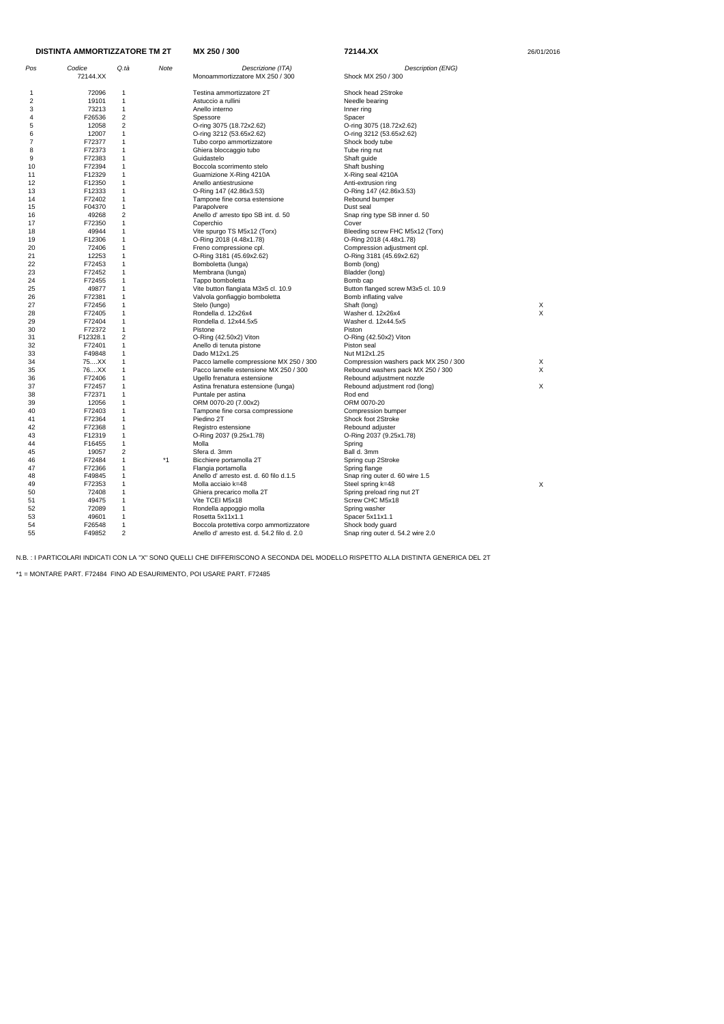| <b>DISTINTA AMMORTIZZATORE TM 2T</b> |          | MX 250 / 300            | 72144.XX | 26/01/2016                                 |                                       |   |
|--------------------------------------|----------|-------------------------|----------|--------------------------------------------|---------------------------------------|---|
| Pos                                  | Codice   | Q tà                    | Note     | Descrizione (ITA)                          | Description (ENG)                     |   |
|                                      | 72144.XX |                         |          | Monoammortizzatore MX 250 / 300            | Shock MX 250 / 300                    |   |
| 1                                    | 72096    | 1                       |          | Testina ammortizzatore 2T                  | Shock head 2Stroke                    |   |
| 2                                    | 19101    | $\mathbf{1}$            |          | Astuccio a rullini                         | Needle bearing                        |   |
| 3                                    | 73213    | $\mathbf{1}$            |          | Anello interno                             | Inner ring                            |   |
| 4                                    | F26536   | $\overline{2}$          |          | Spessore                                   | Spacer                                |   |
| 5                                    | 12058    | $\overline{\mathbf{c}}$ |          | O-ring 3075 (18.72x2.62)                   | O-ring 3075 (18.72x2.62)              |   |
| 6                                    | 12007    | $\mathbf{1}$            |          | O-ring 3212 (53.65x2.62)                   | O-ring 3212 (53.65x2.62)              |   |
| 7                                    | F72377   | 1                       |          | Tubo corpo ammortizzatore                  | Shock body tube                       |   |
| 8                                    | F72373   | $\mathbf{1}$            |          | Ghiera bloccaggio tubo                     | Tube ring nut                         |   |
| 9                                    | F72383   | 1                       |          | Guidastelo                                 | Shaft guide                           |   |
| 10                                   | F72394   | 1                       |          | Boccola scorrimento stelo                  | Shaft bushing                         |   |
| 11                                   | F12329   | 1                       |          | Guarnizione X-Ring 4210A                   | X-Ring seal 4210A                     |   |
| 12                                   | F12350   | 1                       |          | Anello antiestrusione                      | Anti-extrusion ring                   |   |
| 13                                   | F12333   | $\mathbf{1}$            |          | O-Ring 147 (42.86x3.53)                    | O-Ring 147 (42.86x3.53)               |   |
| 14                                   | F72402   | $\mathbf{1}$            |          | Tampone fine corsa estensione              | Rebound bumper                        |   |
| 15                                   | F04370   | $\mathbf{1}$            |          | Parapolvere                                | Dust seal                             |   |
| 16                                   | 49268    | 2                       |          | Anello d' arresto tipo SB int. d. 50       | Snap ring type SB inner d. 50         |   |
| 17                                   | F72350   | $\mathbf{1}$            |          | Coperchio                                  | Cover                                 |   |
| 18                                   | 49944    | 1                       |          | Vite spurgo TS M5x12 (Torx)                | Bleeding screw FHC M5x12 (Torx)       |   |
| 19                                   | F12306   | 1                       |          | O-Ring 2018 (4.48x1.78)                    | O-Ring 2018 (4.48x1.78)               |   |
| 20                                   | 72406    | $\mathbf{1}$            |          | Freno compressione cpl.                    | Compression adjustment cpl.           |   |
| 21                                   | 12253    | 1                       |          | O-Ring 3181 (45.69x2.62)                   | O-Ring 3181 (45.69x2.62)              |   |
| 22                                   | F72453   | $\mathbf{1}$            |          | Bomboletta (lunga)                         | Bomb (long)                           |   |
| 23                                   | F72452   | 1                       |          | Membrana (lunga)                           | Bladder (long)                        |   |
| 24                                   | F72455   | 1                       |          | Tappo bomboletta                           | Bomb cap                              |   |
| 25                                   | 49877    | $\mathbf{1}$            |          | Vite button flangiata M3x5 cl. 10.9        | Button flanged screw M3x5 cl. 10.9    |   |
| 26                                   | F72381   | 1                       |          | Valvola gonfiaggio bomboletta              | Bomb inflating valve                  |   |
| 27                                   | F72456   | $\mathbf{1}$            |          | Stelo (lungo)                              | Shaft (long)                          | Х |
| 28                                   | F72405   | 1                       |          | Rondella d. 12x26x4                        | Washer d. 12x26x4                     | X |
| 29                                   | F72404   | $\mathbf{1}$            |          | Rondella d. 12x44.5x5                      | Washer d. 12x44.5x5                   |   |
| 30                                   | F72372   | $\mathbf{1}$            |          | Pistone                                    | Piston                                |   |
| 31                                   | F12328.1 | 2                       |          | O-Ring (42.50x2) Viton                     | O-Ring (42.50x2) Viton                |   |
| 32                                   | F72401   | $\mathbf{1}$            |          | Anello di tenuta pistone                   | Piston seal                           |   |
| 33                                   | F49848   | 1                       |          | Dado M12x1.25                              | Nut M12x1.25                          |   |
| 34                                   | 75XX     | 1                       |          | Pacco lamelle compressione MX 250 / 300    | Compression washers pack MX 250 / 300 | Х |
| 35                                   | 76XX     | 1                       |          | Pacco lamelle estensione MX 250 / 300      | Rebound washers pack MX 250 / 300     | X |
| 36                                   | F72406   | 1                       |          | Ugello frenatura estensione                | Rebound adjustment nozzle             |   |
| 37                                   | F72457   | $\mathbf{1}$            |          | Astina frenatura estensione (lunga)        | Rebound adjustment rod (long)         | X |
| 38                                   | F72371   | 1                       |          | Puntale per astina                         | Rod end                               |   |
| 39                                   | 12056    | $\mathbf{1}$            |          | ORM 0070-20 (7.00x2)                       | ORM 0070-20                           |   |
| 40                                   | F72403   | 1                       |          | Tampone fine corsa compressione            | Compression bumper                    |   |
| 41                                   | F72364   | 1                       |          | Piedino 2T                                 | Shock foot 2Stroke                    |   |
| 42                                   | F72368   | $\mathbf{1}$            |          | Registro estensione                        | Rebound adjuster                      |   |
| 43                                   | F12319   | $\mathbf{1}$            |          | O-Ring 2037 (9.25x1.78)                    | O-Ring 2037 (9.25x1.78)               |   |
| 44                                   | F16455   | $\mathbf{1}$            |          | Molla                                      | Spring                                |   |
| 45                                   | 19057    | $\overline{2}$          |          | Sfera d. 3mm                               | Ball d. 3mm                           |   |
| 46                                   | F72484   | $\mathbf{1}$            | $*1$     | Bicchiere portamolla 2T                    | Spring cup 2Stroke                    |   |
| 47                                   | F72366   | $\mathbf{1}$            |          | Flangia portamolla                         | Spring flange                         |   |
| 48                                   | F49845   | $\mathbf 1$             |          | Anello d'arresto est. d. 60 filo d.1.5     | Snap ring outer d. 60 wire 1.5        |   |
| 49                                   | F72353   | $\mathbf 1$             |          | Molla acciaio k=48                         | Steel spring k=48                     | X |
| 50                                   | 72408    | $\mathbf 1$             |          | Ghiera precarico molla 2T                  | Spring preload ring nut 2T            |   |
| 51                                   | 49475    | $\mathbf 1$             |          | Vite TCEI M5x18                            | Screw CHC M5x18                       |   |
| 52                                   | 72089    | $\mathbf{1}$            |          | Rondella appoggio molla                    | Spring washer                         |   |
| 53                                   | 49601    | $\mathbf 1$             |          | Rosetta 5x11x1.1                           | Spacer 5x11x1.1                       |   |
| 54                                   | F26548   | $\mathbf{1}$            |          | Boccola protettiva corpo ammortizzatore    | Shock body guard                      |   |
| 55                                   | F49852   | $\overline{c}$          |          | Anello d' arresto est. d. 54.2 filo d. 2.0 | Snap ring outer d. 54.2 wire 2.0      |   |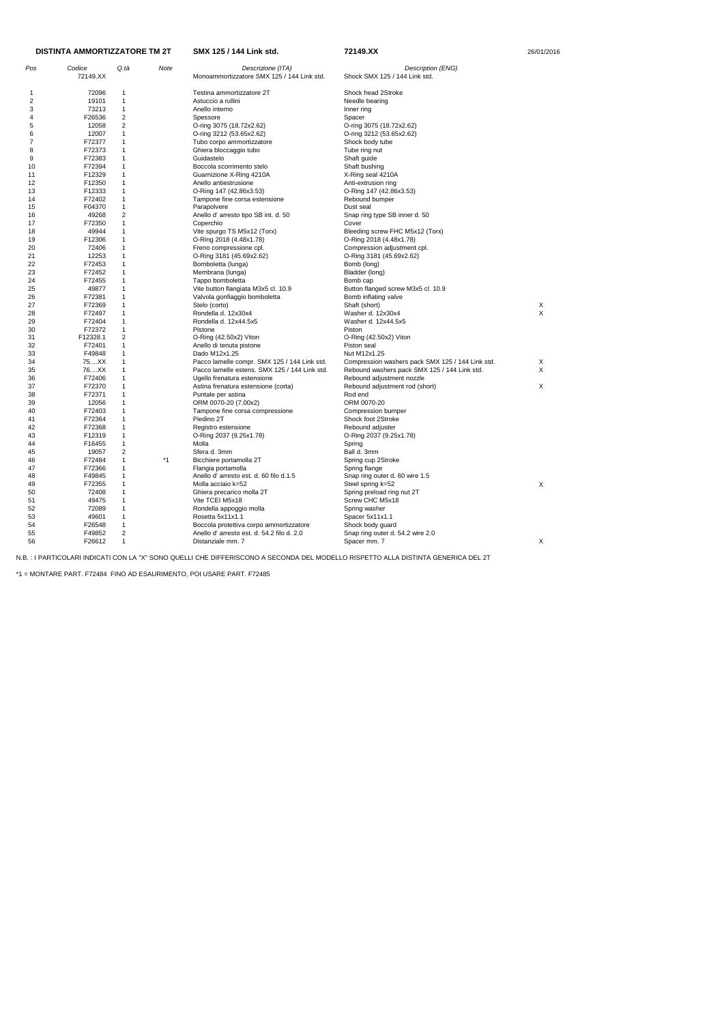| Pos            | Codice   | Q.tà                    | Note | Descrizione (ITA)                             | Description (ENG)                                |    |
|----------------|----------|-------------------------|------|-----------------------------------------------|--------------------------------------------------|----|
|                | 72149.XX |                         |      | Monoammortizzatore SMX 125 / 144 Link std.    | Shock SMX 125 / 144 Link std.                    |    |
|                |          |                         |      |                                               |                                                  |    |
| $\mathbf{1}$   | 72096    | $\mathbf 1$             |      | Testina ammortizzatore 2T                     | Shock head 2Stroke                               |    |
| $\overline{c}$ | 19101    | $\mathbf 1$             |      | Astuccio a rullini                            | Needle bearing                                   |    |
| 3              | 73213    | $\mathbf{1}$            |      | Anello interno                                | Inner ring                                       |    |
| 4              | F26536   | $\overline{\mathbf{c}}$ |      | Spessore                                      | Spacer                                           |    |
| 5              | 12058    | 2                       |      | O-ring 3075 (18.72x2.62)                      | O-ring 3075 (18.72x2.62)                         |    |
| 6              | 12007    | $\mathbf{1}$            |      | O-ring 3212 (53.65x2.62)                      | O-ring 3212 (53.65x2.62)                         |    |
| 7              | F72377   | $\mathbf 1$             |      | Tubo corpo ammortizzatore                     | Shock body tube                                  |    |
| 8              | F72373   | $\mathbf 1$             |      | Ghiera bloccaggio tubo                        | Tube ring nut                                    |    |
| 9              | F72383   | 1                       |      | Guidastelo                                    | Shaft guide                                      |    |
| 10             | F72394   | 1                       |      | Boccola scorrimento stelo                     | Shaft bushing                                    |    |
| 11             | F12329   | 1                       |      | Guarnizione X-Ring 4210A                      | X-Ring seal 4210A                                |    |
| 12             | F12350   | $\mathbf 1$             |      | Anello antiestrusione                         | Anti-extrusion ring                              |    |
| 13             | F12333   | $\mathbf 1$             |      | O-Ring 147 (42.86x3.53)                       | O-Ring 147 (42.86x3.53)                          |    |
| 14             | F72402   | 1                       |      | Tampone fine corsa estensione                 | Rebound bumper                                   |    |
| 15             | F04370   | $\mathbf 1$             |      | Parapolvere                                   | Dust seal                                        |    |
| 16             | 49268    | $\overline{\mathbf{c}}$ |      | Anello d' arresto tipo SB int. d. 50          | Snap ring type SB inner d. 50                    |    |
| 17             | F72350   | $\mathbf{1}$            |      | Coperchio                                     | Cover                                            |    |
| 18             | 49944    | $\mathbf 1$             |      | Vite spurgo TS M5x12 (Torx)                   | Bleeding screw FHC M5x12 (Torx)                  |    |
| 19             | F12306   | $\mathbf 1$             |      | O-Ring 2018 (4.48x1.78)                       | O-Ring 2018 (4.48x1.78)                          |    |
| 20             | 72406    | 1                       |      | Freno compressione cpl.                       | Compression adjustment cpl.                      |    |
| 21             | 12253    | 1                       |      | O-Ring 3181 (45.69x2.62)                      | O-Ring 3181 (45.69x2.62)                         |    |
| 22             | F72453   | $\mathbf 1$             |      | Bomboletta (lunga)                            | Bomb (long)                                      |    |
| 23             | F72452   | 1                       |      | Membrana (lunga)                              | Bladder (long)                                   |    |
| 24             | F72455   | $\mathbf 1$             |      | Tappo bomboletta                              | Bomb cap                                         |    |
| 25             | 49877    | $\mathbf{1}$            |      |                                               | Button flanged screw M3x5 cl. 10.9               |    |
|                |          | 1                       |      | Vite button flangiata M3x5 cl. 10.9           |                                                  |    |
| 26             | F72381   |                         |      | Valvola gonfiaggio bomboletta                 | Bomb inflating valve                             |    |
| 27             | F72369   | 1                       |      | Stelo (corto)                                 | Shaft (short)                                    | X  |
| 28             | F72497   | 1                       |      | Rondella d. 12x30x4                           | Washer d. 12x30x4                                | X  |
| 29             | F72404   | 1                       |      | Rondella d. 12x44.5x5                         | Washer d. 12x44.5x5                              |    |
| 30             | F72372   | 1                       |      | Pistone                                       | Piston                                           |    |
| 31             | F12328.1 | 2                       |      | O-Ring (42.50x2) Viton                        | O-Ring (42.50x2) Viton                           |    |
| 32             | F72401   | 1                       |      | Anello di tenuta pistone                      | Piston seal                                      |    |
| 33             | F49848   | 1                       |      | Dado M12x1.25                                 | Nut M12x1.25                                     |    |
| 34             | 75XX     | $\mathbf 1$             |      | Pacco lamelle compr. SMX 125 / 144 Link std.  | Compression washers pack SMX 125 / 144 Link std. | X  |
| 35             | 76XX     | 1                       |      | Pacco lamelle estens. SMX 125 / 144 Link std. | Rebound washers pack SMX 125 / 144 Link std.     | X  |
| 36             | F72406   | 1                       |      | Ugello frenatura estensione                   | Rebound adjustment nozzle                        |    |
| 37             | F72370   | 1                       |      | Astina frenatura estensione (corta)           | Rebound adjustment rod (short)                   | Χ  |
| 38             | F72371   | 1                       |      | Puntale per astina                            | Rod end                                          |    |
| 39             | 12056    | 1                       |      | ORM 0070-20 (7.00x2)                          | ORM 0070-20                                      |    |
| 40             | F72403   | 1                       |      | Tampone fine corsa compressione               | Compression bumper                               |    |
| 41             | F72364   | 1                       |      | Piedino 2T                                    | Shock foot 2Stroke                               |    |
| 42             | F72368   | 1                       |      | Registro estensione                           | Rebound adjuster                                 |    |
| 43             | F12319   | 1                       |      | O-Ring 2037 (9.25x1.78)                       | O-Ring 2037 (9.25x1.78)                          |    |
| 44             | F16455   | $\mathbf{1}$            |      | Molla                                         | Spring                                           |    |
| 45             | 19057    | 2                       |      | Sfera d. 3mm                                  | Ball d. 3mm                                      |    |
| 46             | F72484   | $\mathbf{1}$            | $*1$ | Bicchiere portamolla 2T                       | Spring cup 2Stroke                               |    |
| 47             | F72366   | 1                       |      | Flangia portamolla                            | Spring flange                                    |    |
| 48             | F49845   | 1                       |      | Anello d'arresto est. d. 60 filo d.1.5        | Snap ring outer d. 60 wire 1.5                   |    |
| 49             | F72355   | 1                       |      | Molla acciaio k=52                            | Steel spring k=52                                | X  |
| 50             | 72408    | 1                       |      | Ghiera precarico molla 2T                     | Spring preload ring nut 2T                       |    |
| 51             | 49475    | 1                       |      | Vite TCEI M5x18                               | Screw CHC M5x18                                  |    |
| 52             | 72089    | 1                       |      | Rondella appoggio molla                       | Spring washer                                    |    |
| 53             | 49601    | 1                       |      | Rosetta 5x11x1.1                              | Spacer 5x11x1.1                                  |    |
| 54             | F26548   | 1                       |      | Boccola protettiva corpo ammortizzatore       | Shock body guard                                 |    |
| 55             | F49852   | $\overline{c}$          |      | Anello d'arresto est. d. 54.2 filo d. 2.0     | Snap ring outer d. 54.2 wire 2.0                 |    |
| 56             | F26612   | $\mathbf{1}$            |      | Distanziale mm. 7                             | Spacer mm. 7                                     |    |
|                |          |                         |      |                                               |                                                  | X. |

\*1 = MONTARE PART. F72484 FINO AD ESAURIMENTO, POI USARE PART. F72485

**SMX 125 / 144 Link std. 72149.XX** 

|  | 26/01/2016 |  |  |  |
|--|------------|--|--|--|
|--|------------|--|--|--|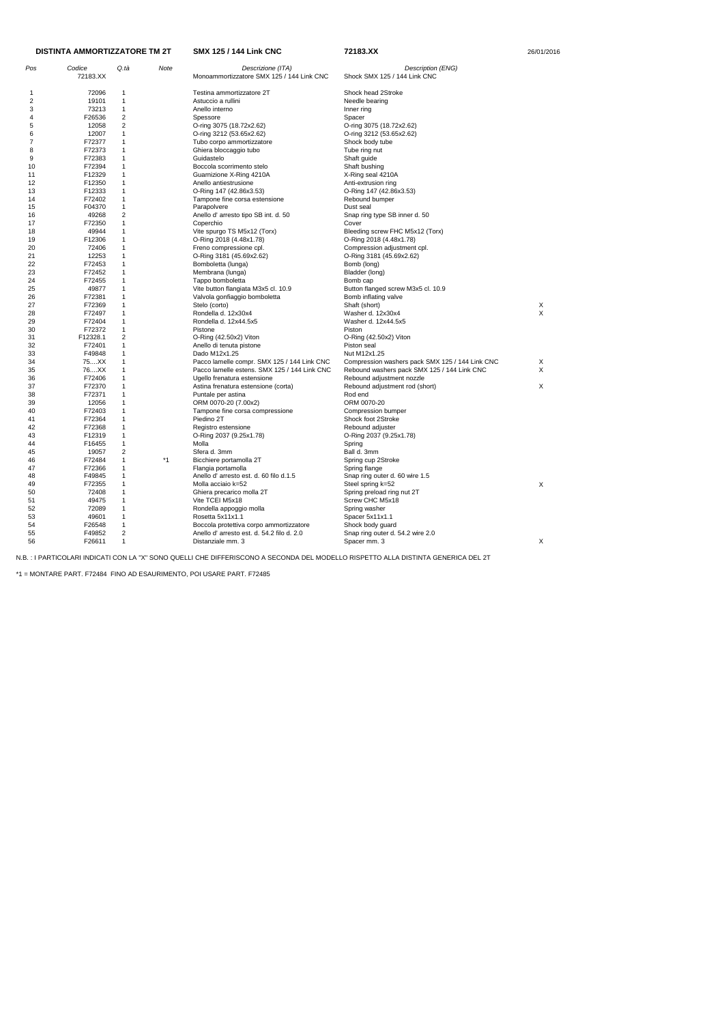| Pos                     | Codice<br>72183.XX | Q.tà                    | Note | Descrizione (ITA)<br>Monoammortizzatore SMX 125 / 144 Link CNC | Description (ENG)<br>Shock SMX 125 / 144 Link CNC |   |
|-------------------------|--------------------|-------------------------|------|----------------------------------------------------------------|---------------------------------------------------|---|
| 1                       | 72096              | 1                       |      | Testina ammortizzatore 2T                                      | Shock head 2Stroke                                |   |
| $\overline{\mathbf{c}}$ | 19101              | $\mathbf{1}$            |      | Astuccio a rullini                                             | Needle bearing                                    |   |
| 3                       | 73213              | 1                       |      | Anello interno                                                 | Inner ring                                        |   |
| 4                       | F26536             | $\overline{\mathbf{c}}$ |      | Spessore                                                       | Spacer                                            |   |
| 5                       | 12058              | $\overline{\mathbf{c}}$ |      | O-ring 3075 (18.72x2.62)                                       | O-ring 3075 (18.72x2.62)                          |   |
| 6                       | 12007              | 1                       |      | O-ring 3212 (53.65x2.62)                                       | O-ring 3212 (53.65x2.62)                          |   |
| 7                       | F72377             | $\mathbf 1$             |      | Tubo corpo ammortizzatore                                      | Shock body tube                                   |   |
| 8                       | F72373             | 1                       |      | Ghiera bloccaggio tubo                                         | Tube ring nut                                     |   |
| 9                       | F72383             | 1                       |      | Guidastelo                                                     | Shaft guide                                       |   |
| 10                      | F72394             | 1                       |      | Boccola scorrimento stelo                                      | Shaft bushing                                     |   |
| 11                      | F12329             | 1                       |      | Guarnizione X-Ring 4210A                                       | X-Ring seal 4210A                                 |   |
| 12                      | F12350             | 1                       |      | Anello antiestrusione                                          | Anti-extrusion ring                               |   |
| 13                      | F12333             | 1                       |      | O-Ring 147 (42.86x3.53)                                        | O-Ring 147 (42.86x3.53)                           |   |
| 14                      | F72402             | $\mathbf 1$             |      | Tampone fine corsa estensione                                  | Rebound bumper                                    |   |
| 15                      | F04370             | 1                       |      | Parapolvere                                                    | Dust seal                                         |   |
| 16                      | 49268              | 2                       |      | Anello d' arresto tipo SB int. d. 50                           | Snap ring type SB inner d. 50                     |   |
| 17                      | F72350             | 1                       |      | Coperchio                                                      | Cover                                             |   |
| 18                      | 49944              | 1                       |      | Vite spurgo TS M5x12 (Torx)                                    | Bleeding screw FHC M5x12 (Torx)                   |   |
| 19                      | F12306             | 1                       |      | O-Ring 2018 (4.48x1.78)                                        | O-Ring 2018 (4.48x1.78)                           |   |
| 20                      | 72406              | 1                       |      | Freno compressione cpl.                                        | Compression adjustment cpl.                       |   |
| 21                      | 12253              | $\mathbf{1}$            |      | O-Ring 3181 (45.69x2.62)                                       | O-Ring 3181 (45.69x2.62)                          |   |
| 22                      | F72453             | 1                       |      | Bomboletta (lunga)                                             | Bomb (long)                                       |   |
| 23                      | F72452             | 1                       |      | Membrana (lunga)                                               | Bladder (long)                                    |   |
| 24                      | F72455             | 1                       |      | Tappo bomboletta                                               | Bomb cap                                          |   |
|                         | 49877              | 1                       |      |                                                                | Button flanged screw M3x5 cl. 10.9                |   |
| 25                      | F72381             | $\mathbf 1$             |      | Vite button flangiata M3x5 cl. 10.9                            |                                                   |   |
| 26                      |                    |                         |      | Valvola gonfiaggio bomboletta                                  | Bomb inflating valve                              |   |
| 27                      | F72369             | 1                       |      | Stelo (corto)                                                  | Shaft (short)                                     | X |
| 28                      | F72497             | 1                       |      | Rondella d. 12x30x4                                            | Washer d. 12x30x4                                 | X |
| 29                      | F72404             | 1                       |      | Rondella d. 12x44.5x5                                          | Washer d. 12x44.5x5                               |   |
| 30                      | F72372             | 1<br>$\overline{2}$     |      | Pistone                                                        | Piston                                            |   |
| 31                      | F12328.1           |                         |      | O-Ring (42.50x2) Viton                                         | O-Ring (42.50x2) Viton                            |   |
| 32                      | F72401             | 1                       |      | Anello di tenuta pistone                                       | Piston seal                                       |   |
| 33                      | F49848             | 1                       |      | Dado M12x1.25                                                  | Nut M12x1.25                                      |   |
| 34                      | 75XX               | 1                       |      | Pacco lamelle compr. SMX 125 / 144 Link CNC                    | Compression washers pack SMX 125 / 144 Link CNC   | X |
| 35                      | 76XX               | $\mathbf{1}$            |      | Pacco lamelle estens. SMX 125 / 144 Link CNC                   | Rebound washers pack SMX 125 / 144 Link CNC       | Χ |
| 36                      | F72406             | 1                       |      | Ugello frenatura estensione                                    | Rebound adjustment nozzle                         |   |
| 37                      | F72370             | 1                       |      | Astina frenatura estensione (corta)                            | Rebound adjustment rod (short)                    | Χ |
| 38                      | F72371             | 1                       |      | Puntale per astina                                             | Rod end                                           |   |
| 39                      | 12056              | 1                       |      | ORM 0070-20 (7.00x2)                                           | ORM 0070-20                                       |   |
| 40                      | F72403             | 1                       |      | Tampone fine corsa compressione                                | Compression bumper                                |   |
| 41                      | F72364             | 1                       |      | Piedino 2T                                                     | Shock foot 2Stroke                                |   |
| 42                      | F72368             | 1                       |      | Registro estensione                                            | Rebound adjuster                                  |   |
| 43                      | F12319             | 1                       |      | O-Ring 2037 (9.25x1.78)                                        | O-Ring 2037 (9.25x1.78)                           |   |
| 44                      | F16455             | 1                       |      | Molla                                                          | Spring                                            |   |
| 45                      | 19057              | 2                       |      | Sfera d. 3mm                                                   | Ball d. 3mm                                       |   |
| 46                      | F72484             | 1                       | *1   | Bicchiere portamolla 2T                                        | Spring cup 2Stroke                                |   |
| 47                      | F72366             | 1                       |      | Flangia portamolla                                             | Spring flange                                     |   |
| 48                      | F49845             | 1                       |      | Anello d'arresto est. d. 60 filo d.1.5                         | Snap ring outer d. 60 wire 1.5                    |   |
| 49                      | F72355             | 1                       |      | Molla acciaio k=52                                             | Steel spring k=52                                 | Χ |
| 50                      | 72408              | 1                       |      | Ghiera precarico molla 2T                                      | Spring preload ring nut 2T                        |   |
| 51                      | 49475              | $\mathbf{1}$            |      | Vite TCEI M5x18                                                | Screw CHC M5x18                                   |   |
| 52                      | 72089              | 1                       |      | Rondella appoggio molla                                        | Spring washer                                     |   |
| 53                      | 49601              | 1                       |      | Rosetta 5x11x1.1                                               | Spacer 5x11x1.1                                   |   |
| 54                      | F26548             | 1                       |      | Boccola protettiva corpo ammortizzatore                        | Shock body guard                                  |   |
| 55                      | F49852             | 2                       |      | Anello d' arresto est. d. 54.2 filo d. 2.0                     | Snap ring outer d. 54.2 wire 2.0                  |   |
| 56                      | F26611             | 1                       |      | Distanziale mm. 3                                              | Spacer mm. 3                                      | X |

\*1 = MONTARE PART. F72484 FINO AD ESAURIMENTO, POI USARE PART. F72485

| DISTINTA AMMORTIZZATORE TM 2T |  |
|-------------------------------|--|
|                               |  |

**SMX 125 / 144 Link CNC** 72183.XX 26/01/2016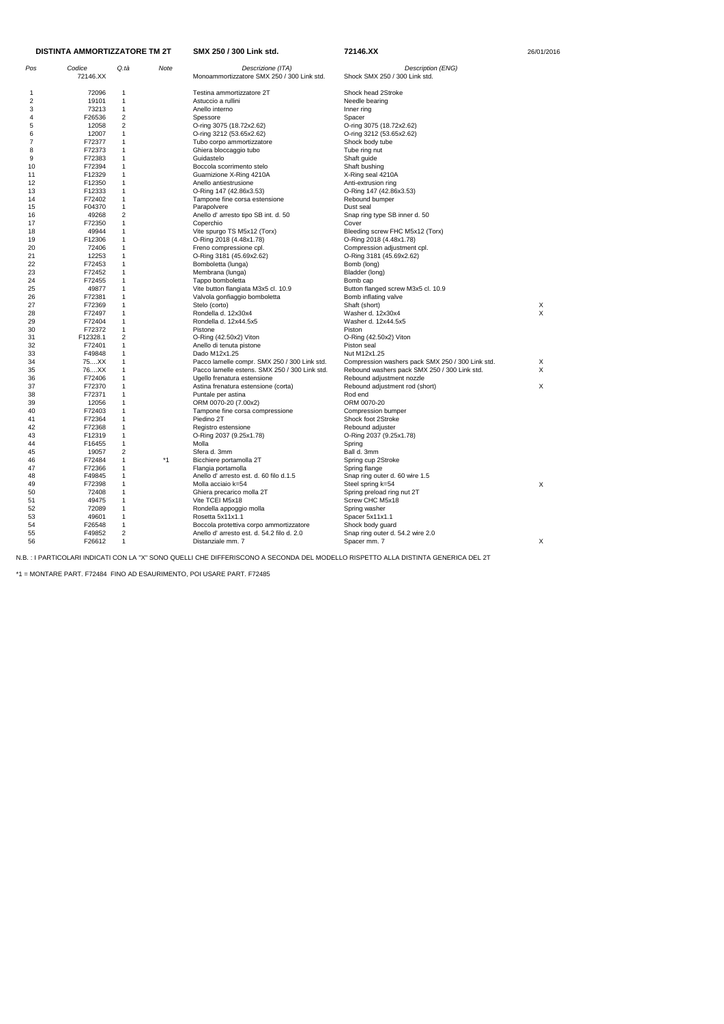| Pos          | Codice   | Q.tà                    | Note | Descrizione (ITA)                             | Description (ENG)                                |          |
|--------------|----------|-------------------------|------|-----------------------------------------------|--------------------------------------------------|----------|
|              | 72146.XX |                         |      | Monoammortizzatore SMX 250 / 300 Link std.    | Shock SMX 250 / 300 Link std.                    |          |
|              |          |                         |      |                                               |                                                  |          |
| $\mathbf{1}$ | 72096    | 1                       |      | Testina ammortizzatore 2T                     | Shock head 2Stroke                               |          |
| 2            | 19101    | $\mathbf{1}$            |      | Astuccio a rullini                            | Needle bearing                                   |          |
| 3            | 73213    | $\mathbf{1}$            |      | Anello interno                                | Inner ring                                       |          |
| 4            | F26536   | $\overline{\mathbf{c}}$ |      | Spessore                                      | Spacer                                           |          |
| 5            | 12058    | 2                       |      | O-ring 3075 (18.72x2.62)                      | O-ring 3075 (18.72x2.62)                         |          |
| 6            | 12007    | $\mathbf{1}$            |      | O-ring 3212 (53.65x2.62)                      | O-ring 3212 (53.65x2.62)                         |          |
| 7            | F72377   | 1                       |      | Tubo corpo ammortizzatore                     | Shock body tube                                  |          |
| 8            | F72373   | 1                       |      | Ghiera bloccaggio tubo                        | Tube ring nut                                    |          |
| 9            | F72383   | 1                       |      | Guidastelo                                    | Shaft guide                                      |          |
| 10           | F72394   | 1                       |      | Boccola scorrimento stelo                     | Shaft bushing                                    |          |
| 11           | F12329   | 1                       |      | Guarnizione X-Ring 4210A                      | X-Ring seal 4210A                                |          |
| 12           | F12350   | $\mathbf{1}$            |      | Anello antiestrusione                         | Anti-extrusion ring                              |          |
| 13           | F12333   | $\mathbf{1}$            |      | O-Ring 147 (42.86x3.53)                       | O-Ring 147 (42.86x3.53)                          |          |
| 14           | F72402   | 1                       |      | Tampone fine corsa estensione                 | Rebound bumper                                   |          |
| 15           | F04370   | $\mathbf{1}$            |      | Parapolvere                                   | Dust seal                                        |          |
| 16           | 49268    | $\overline{\mathbf{c}}$ |      | Anello d' arresto tipo SB int. d. 50          | Snap ring type SB inner d. 50                    |          |
| 17           | F72350   | $\mathbf{1}$            |      | Coperchio                                     | Cover                                            |          |
| 18           | 49944    | $\mathbf{1}$            |      | Vite spurgo TS M5x12 (Torx)                   | Bleeding screw FHC M5x12 (Torx)                  |          |
| 19           | F12306   | 1                       |      | O-Ring 2018 (4.48x1.78)                       | O-Ring 2018 (4.48x1.78)                          |          |
| 20           | 72406    | 1                       |      | Freno compressione cpl.                       | Compression adjustment cpl.                      |          |
| 21           | 12253    | 1                       |      | O-Ring 3181 (45.69x2.62)                      | O-Ring 3181 (45.69x2.62)                         |          |
| 22           | F72453   | $\mathbf{1}$            |      | Bomboletta (lunga)                            | Bomb (long)                                      |          |
| 23           | F72452   | 1                       |      | Membrana (lunga)                              | Bladder (long)                                   |          |
| 24           | F72455   | 1                       |      | Tappo bomboletta                              | Bomb cap                                         |          |
| 25           | 49877    | $\mathbf{1}$            |      | Vite button flangiata M3x5 cl. 10.9           | Button flanged screw M3x5 cl. 10.9               |          |
| 26           | F72381   | 1                       |      | Valvola gonfiaggio bomboletta                 | Bomb inflating valve                             |          |
| 27           | F72369   | 1                       |      | Stelo (corto)                                 | Shaft (short)                                    | X        |
| 28           | F72497   | 1                       |      | Rondella d. 12x30x4                           | Washer d. 12x30x4                                | $\times$ |
| 29           | F72404   | 1                       |      | Rondella d. 12x44.5x5                         | Washer d. 12x44.5x5                              |          |
| 30           | F72372   | $\mathbf{1}$            |      | Pistone                                       | Piston                                           |          |
| 31           | F12328.1 | 2                       |      | $O-Ring (42.50x2)$ Viton                      | O-Ring (42.50x2) Viton                           |          |
|              | F72401   | $\mathbf{1}$            |      |                                               |                                                  |          |
| 32           | F49848   | 1                       |      | Anello di tenuta pistone                      | Piston seal                                      |          |
| 33           |          | $\mathbf{1}$            |      | Dado M12x1.25                                 | Nut M12x1.25                                     |          |
| 34           | 75XX     |                         |      | Pacco lamelle compr. SMX 250 / 300 Link std.  | Compression washers pack SMX 250 / 300 Link std. | X        |
| 35           | 76XX     | 1                       |      | Pacco lamelle estens. SMX 250 / 300 Link std. | Rebound washers pack SMX 250 / 300 Link std.     | X        |
| 36           | F72406   | 1                       |      | Ugello frenatura estensione                   | Rebound adjustment nozzle                        |          |
| 37           | F72370   | 1                       |      | Astina frenatura estensione (corta)           | Rebound adjustment rod (short)                   | X        |
| 38           | F72371   | 1                       |      | Puntale per astina                            | Rod end                                          |          |
| 39           | 12056    | 1                       |      | ORM 0070-20 (7.00x2)                          | ORM 0070-20                                      |          |
| 40           | F72403   | 1                       |      | Tampone fine corsa compressione               | Compression bumper                               |          |
| 41           | F72364   | 1                       |      | Piedino 2T                                    | Shock foot 2Stroke                               |          |
| 42           | F72368   | 1                       |      | Registro estensione                           | Rebound adjuster                                 |          |
| 43           | F12319   | 1                       |      | O-Ring 2037 (9.25x1.78)                       | O-Ring 2037 (9.25x1.78)                          |          |
| 44           | F16455   | 1                       |      | Molla                                         | Spring                                           |          |
| 45           | 19057    | 2                       |      | Sfera d. 3mm                                  | Ball d. 3mm                                      |          |
| 46           | F72484   | $\mathbf{1}$            | $*1$ | Bicchiere portamolla 2T                       | Spring cup 2Stroke                               |          |
| 47           | F72366   | 1                       |      | Flangia portamolla                            | Spring flange                                    |          |
| 48           | F49845   | $\mathbf{1}$            |      | Anello d'arresto est. d. 60 filo d.1.5        | Snap ring outer d. 60 wire 1.5                   |          |
| 49           | F72398   | $\mathbf{1}$            |      | Molla acciaio k=54                            | Steel spring k=54                                | X        |
| 50           | 72408    | 1                       |      | Ghiera precarico molla 2T                     | Spring preload ring nut 2T                       |          |
| 51           | 49475    | $\mathbf{1}$            |      | Vite TCEI M5x18                               | Screw CHC M5x18                                  |          |
| 52           | 72089    | 1                       |      | Rondella appoggio molla                       | Spring washer                                    |          |
| 53           | 49601    | $\mathbf{1}$            |      | Rosetta 5x11x1.1                              | Spacer 5x11x1.1                                  |          |
| 54           | F26548   | $\mathbf{1}$            |      | Boccola protettiva corpo ammortizzatore       | Shock body guard                                 |          |
| 55           | F49852   | $\overline{c}$          |      | Anello d'arresto est. d. 54.2 filo d. 2.0     | Snap ring outer d. 54.2 wire 2.0                 |          |
| 56           | F26612   | $\mathbf{1}$            |      | Distanziale mm. 7                             | Spacer mm. 7                                     | X        |

\*1 = MONTARE PART. F72484 FINO AD ESAURIMENTO, POI USARE PART. F72485

|  | DISTINTA AMMORTIZZATORE TM 2T |  |
|--|-------------------------------|--|
|--|-------------------------------|--|

**SMX 250 / 300 Link std. 72146.XX**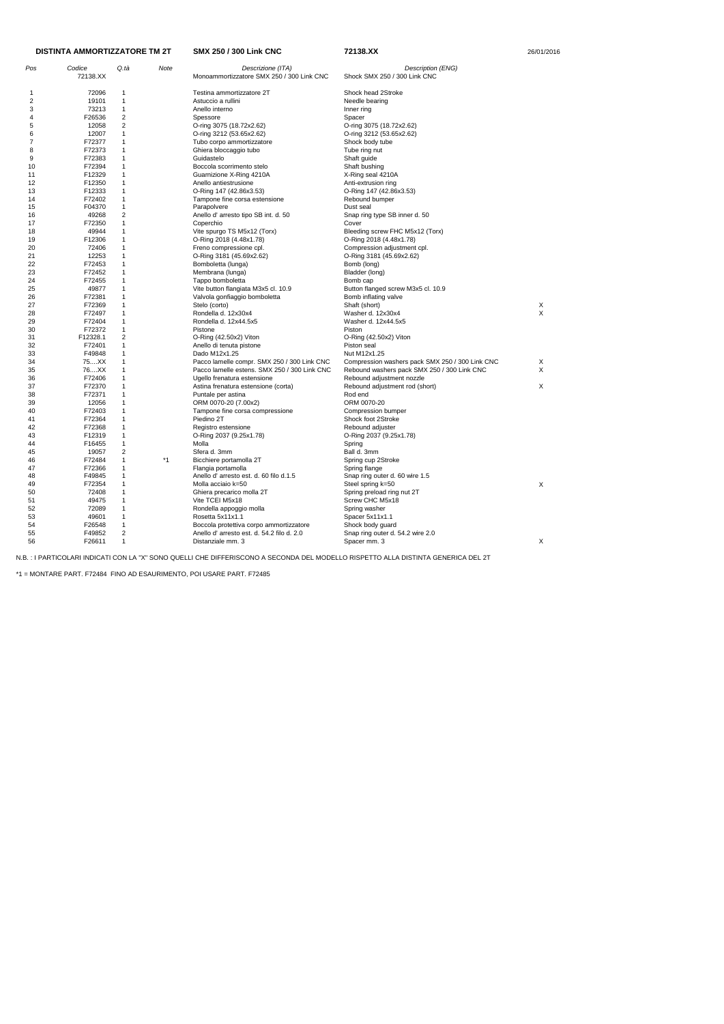| Pos                     | Codice<br>72138.XX | Q.tà                    | Note | Descrizione (ITA)<br>Monoammortizzatore SMX 250 / 300 Link CNC | Description (ENG)<br>Shock SMX 250 / 300 Link CNC |   |
|-------------------------|--------------------|-------------------------|------|----------------------------------------------------------------|---------------------------------------------------|---|
| 1                       | 72096              | 1                       |      | Testina ammortizzatore 2T                                      | Shock head 2Stroke                                |   |
| $\overline{\mathbf{c}}$ | 19101              | $\mathbf{1}$            |      | Astuccio a rullini                                             | Needle bearing                                    |   |
| 3                       | 73213              | $\mathbf{1}$            |      | Anello interno                                                 | Inner ring                                        |   |
| 4                       | F26536             | $\overline{2}$          |      | Spessore                                                       | Spacer                                            |   |
| 5                       | 12058              | $\overline{\mathbf{c}}$ |      | O-ring 3075 (18.72x2.62)                                       | O-ring 3075 (18.72x2.62)                          |   |
| 6                       | 12007              | $\mathbf{1}$            |      | O-ring 3212 (53.65x2.62)                                       | O-ring 3212 (53.65x2.62)                          |   |
| 7                       | F72377             | $\mathbf{1}$            |      |                                                                |                                                   |   |
| 8                       | F72373             | 1                       |      | Tubo corpo ammortizzatore                                      | Shock body tube                                   |   |
|                         | F72383             | $\mathbf{1}$            |      | Ghiera bloccaggio tubo<br>Guidastelo                           | Tube ring nut                                     |   |
| 9                       |                    |                         |      |                                                                | Shaft guide                                       |   |
| 10                      | F72394             | 1                       |      | Boccola scorrimento stelo                                      | Shaft bushing                                     |   |
| 11                      | F12329             | $\mathbf{1}$            |      | Guarnizione X-Ring 4210A                                       | X-Ring seal 4210A                                 |   |
| 12                      | F12350             | $\mathbf{1}$            |      | Anello antiestrusione                                          | Anti-extrusion ring                               |   |
| 13                      | F12333             | $\mathbf{1}$            |      | O-Ring 147 (42.86x3.53)                                        | O-Ring 147 (42.86x3.53)                           |   |
| 14                      | F72402             | $\mathbf{1}$            |      | Tampone fine corsa estensione                                  | Rebound bumper                                    |   |
| 15                      | F04370             | $\mathbf{1}$            |      | Parapolvere                                                    | Dust seal                                         |   |
| 16                      | 49268              | 2                       |      | Anello d' arresto tipo SB int. d. 50                           | Snap ring type SB inner d. 50                     |   |
| 17                      | F72350             | 1                       |      | Coperchio                                                      | Cover                                             |   |
| 18                      | 49944              | $\mathbf{1}$            |      | Vite spurgo TS M5x12 (Torx)                                    | Bleeding screw FHC M5x12 (Torx)                   |   |
| 19                      | F12306             | $\mathbf{1}$            |      | O-Ring 2018 (4.48x1.78)                                        | O-Ring 2018 (4.48x1.78)                           |   |
| 20                      | 72406              | $\mathbf{1}$            |      | Freno compressione cpl.                                        | Compression adjustment cpl.                       |   |
| 21                      | 12253              | $\mathbf{1}$            |      | O-Ring 3181 (45.69x2.62)                                       | O-Ring 3181 (45.69x2.62)                          |   |
| 22                      | F72453             | 1                       |      | Bomboletta (lunga)                                             | Bomb (long)                                       |   |
| 23                      | F72452             | $\mathbf{1}$            |      | Membrana (lunga)                                               | Bladder (long)                                    |   |
| 24                      | F72455             | 1                       |      | Tappo bomboletta                                               | Bomb cap                                          |   |
| 25                      | 49877              | $\mathbf{1}$            |      | Vite button flangiata M3x5 cl. 10.9                            | Button flanged screw M3x5 cl. 10.9                |   |
| 26                      | F72381             | $\mathbf{1}$            |      | Valvola gonfiaggio bomboletta                                  | Bomb inflating valve                              |   |
| 27                      | F72369             | $\mathbf{1}$            |      | Stelo (corto)                                                  | Shaft (short)                                     | X |
| 28                      | F72497             | 1                       |      | Rondella d. 12x30x4                                            | Washer d. 12x30x4                                 | X |
| 29                      | F72404             | 1                       |      | Rondella d. 12x44.5x5                                          | Washer d. 12x44.5x5                               |   |
| 30                      | F72372             | 1                       |      | Pistone                                                        | Piston                                            |   |
| 31                      | F12328.1           | 2                       |      | O-Ring (42.50x2) Viton                                         | O-Ring (42.50x2) Viton                            |   |
| 32                      | F72401             | $\mathbf{1}$            |      |                                                                | Piston seal                                       |   |
| 33                      | F49848             | 1                       |      | Anello di tenuta pistone<br>Dado M12x1.25                      | Nut M12x1.25                                      |   |
|                         |                    | $\mathbf{1}$            |      |                                                                |                                                   |   |
| 34                      | 75XX               |                         |      | Pacco lamelle compr. SMX 250 / 300 Link CNC                    | Compression washers pack SMX 250 / 300 Link CNC   | х |
| 35                      | 76XX               | $\mathbf{1}$            |      | Pacco lamelle estens. SMX 250 / 300 Link CNC                   | Rebound washers pack SMX 250 / 300 Link CNC       | X |
| 36                      | F72406             | 1                       |      | Ugello frenatura estensione                                    | Rebound adjustment nozzle                         |   |
| 37                      | F72370             | $\mathbf{1}$            |      | Astina frenatura estensione (corta)                            | Rebound adjustment rod (short)                    | X |
| 38                      | F72371             | 1                       |      | Puntale per astina                                             | Rod end                                           |   |
| 39                      | 12056              | $\mathbf{1}$            |      | ORM 0070-20 (7.00x2)                                           | ORM 0070-20                                       |   |
| 40                      | F72403             | 1                       |      | Tampone fine corsa compressione                                | Compression bumper                                |   |
| 41                      | F72364             | 1                       |      | Piedino 2T                                                     | Shock foot 2Stroke                                |   |
| 42                      | F72368             | 1                       |      | Registro estensione                                            | Rebound adjuster                                  |   |
| 43                      | F12319             | 1                       |      | O-Ring 2037 (9.25x1.78)                                        | O-Ring 2037 (9.25x1.78)                           |   |
| 44                      | F16455             | 1                       |      | Molla                                                          | Spring                                            |   |
| 45                      | 19057              | 2                       |      | Sfera d. 3mm                                                   | Ball d. 3mm                                       |   |
| 46                      | F72484             | 1                       | *1   | Bicchiere portamolla 2T                                        | Spring cup 2Stroke                                |   |
| 47                      | F72366             | 1                       |      | Flangia portamolla                                             | Spring flange                                     |   |
| 48                      | F49845             | 1                       |      | Anello d'arresto est. d. 60 filo d.1.5                         | Snap ring outer d. 60 wire 1.5                    |   |
| 49                      | F72354             | 1                       |      | Molla acciaio k=50                                             | Steel spring k=50                                 | X |
| 50                      | 72408              | 1                       |      | Ghiera precarico molla 2T                                      | Spring preload ring nut 2T                        |   |
| 51                      | 49475              | $\mathbf{1}$            |      | Vite TCEI M5x18                                                | Screw CHC M5x18                                   |   |
| 52                      | 72089              | 1                       |      | Rondella appoggio molla                                        | Spring washer                                     |   |
| 53                      | 49601              | 1                       |      | Rosetta 5x11x1.1                                               | Spacer 5x11x1.1                                   |   |
| 54                      | F26548             | 1                       |      | Boccola protettiva corpo ammortizzatore                        | Shock body guard                                  |   |
| 55                      | F49852             | 2                       |      | Anello d'arresto est. d. 54.2 filo d. 2.0                      | Snap ring outer d. 54.2 wire 2.0                  |   |
| 56                      | F26611             | $\mathbf{1}$            |      | Distanziale mm. 3                                              | Spacer mm. 3                                      | X |
|                         |                    |                         |      |                                                                |                                                   |   |

\*1 = MONTARE PART. F72484 FINO AD ESAURIMENTO, POI USARE PART. F72485

| <b>DISTINTA AMMORTIZZATORE TM 2T</b> |
|--------------------------------------|
|                                      |

**SMX 250 / 300 Link CNC 72138.XX** 26/01/2016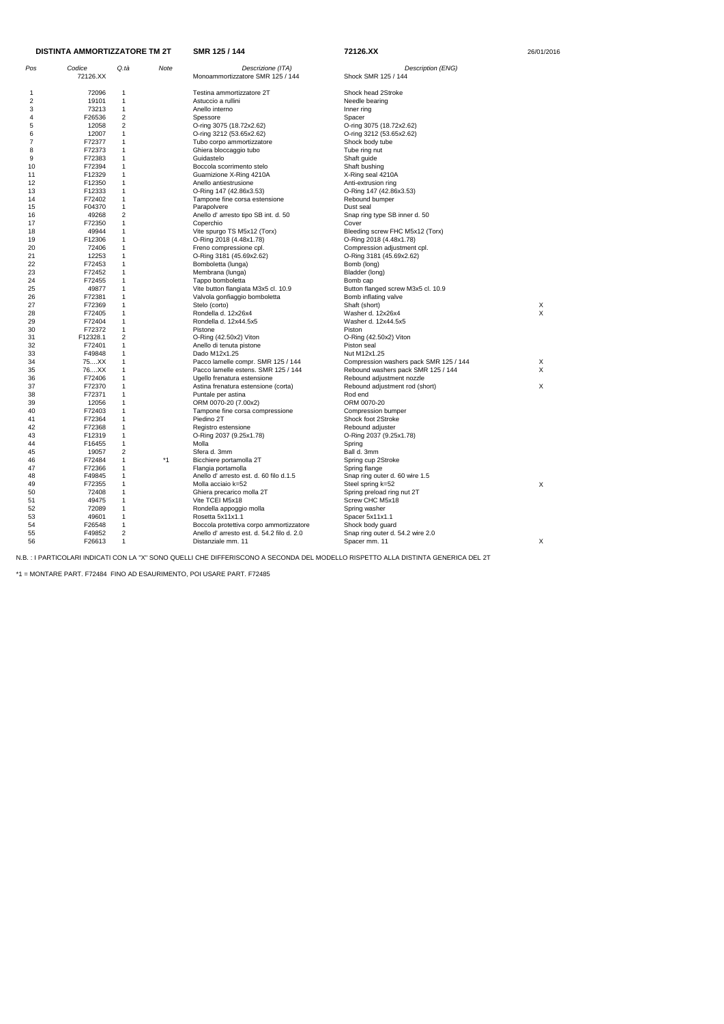| Pos | Codice           | Q.tà                    | Note | Descrizione (ITA)                          | Description (ENG)                      |   |
|-----|------------------|-------------------------|------|--------------------------------------------|----------------------------------------|---|
|     | 72126.XX         |                         |      | Monoammortizzatore SMR 125 / 144           | Shock SMR 125 / 144                    |   |
| -1  | 72096            | 1                       |      | Testina ammortizzatore 2T                  | Shock head 2Stroke                     |   |
| 2   | 19101            | $\mathbf{1}$            |      | Astuccio a rullini                         | Needle bearing                         |   |
| 3   | 73213            | $\mathbf{1}$            |      | Anello interno                             | Inner ring                             |   |
| 4   | F26536           | $\overline{2}$          |      | Spessore                                   | Spacer                                 |   |
| 5   | 12058            | $\overline{2}$          |      | O-ring 3075 (18.72x2.62)                   | O-ring 3075 (18.72x2.62)               |   |
| 6   | 12007            | $\mathbf{1}$            |      | O-ring 3212 (53.65x2.62)                   | O-ring 3212 (53.65x2.62)               |   |
| 7   | F72377           | $\mathbf{1}$            |      | Tubo corpo ammortizzatore                  | Shock body tube                        |   |
| 8   | F72373           | 1                       |      | Ghiera bloccaggio tubo                     | Tube ring nut                          |   |
| 9   | F72383           | $\mathbf 1$             |      | Guidastelo                                 | Shaft guide                            |   |
| 10  | F72394           | $\mathbf{1}$            |      | Boccola scorrimento stelo                  | Shaft bushing                          |   |
| 11  | F12329           | $\mathbf{1}$            |      | Guarnizione X-Ring 4210A                   |                                        |   |
|     |                  |                         |      |                                            | X-Ring seal 4210A                      |   |
| 12  | F12350           | $\mathbf 1$             |      | Anello antiestrusione                      | Anti-extrusion ring                    |   |
| 13  | F12333           | 1                       |      | O-Ring 147 (42.86x3.53)                    | O-Ring 147 (42.86x3.53)                |   |
| 14  | F72402           | $\mathbf{1}$            |      | Tampone fine corsa estensione              | Rebound bumper                         |   |
| 15  | F04370           | $\mathbf{1}$            |      | Parapolvere                                | Dust seal                              |   |
| 16  | 49268            | $\overline{2}$          |      | Anello d' arresto tipo SB int. d. 50       | Snap ring type SB inner d. 50          |   |
| 17  | F72350           | $\mathbf{1}$            |      | Coperchio                                  | Cover                                  |   |
| 18  | 49944            | $\mathbf{1}$            |      | Vite spurgo TS M5x12 (Torx)                | Bleeding screw FHC M5x12 (Torx)        |   |
| 19  | F12306           | $\mathbf 1$             |      | O-Ring 2018 (4.48x1.78)                    | O-Ring 2018 (4.48x1.78)                |   |
| 20  | 72406            | 1                       |      | Freno compressione cpl.                    | Compression adjustment cpl.            |   |
| 21  | 12253            | $\mathbf 1$             |      | O-Ring 3181 (45.69x2.62)                   | O-Ring 3181 (45.69x2.62)               |   |
| 22  | F72453           | $\mathbf{1}$            |      | Bomboletta (lunga)                         | Bomb (long)                            |   |
| 23  | F72452           | $\mathbf{1}$            |      | Membrana (lunga)                           | Bladder (long)                         |   |
| 24  | F72455           | $\mathbf{1}$            |      | Tappo bomboletta                           | Bomb cap                               |   |
| 25  | 49877            | 1                       |      | Vite button flangiata M3x5 cl. 10.9        | Button flanged screw M3x5 cl. 10.9     |   |
| 26  | F72381           | $\mathbf{1}$            |      | Valvola gonfiaggio bomboletta              | Bomb inflating valve                   |   |
| 27  | F72369           | 1                       |      | Stelo (corto)                              | Shaft (short)                          | X |
| 28  | F72405           | $\mathbf 1$             |      | Rondella d. 12x26x4                        | Washer d. 12x26x4                      | X |
| 29  | F72404           | $\mathbf{1}$            |      | Rondella d. 12x44.5x5                      | Washer d. 12x44.5x5                    |   |
| 30  | F72372           | $\mathbf{1}$            |      | Pistone                                    | Piston                                 |   |
| 31  | F12328.1         | $\overline{\mathbf{c}}$ |      | O-Ring (42.50x2) Viton                     | O-Ring (42.50x2) Viton                 |   |
| 32  | F72401           | $\mathbf{1}$            |      | Anello di tenuta pistone                   | Piston seal                            |   |
| 33  | F49848           | $\mathbf{1}$            |      | Dado M12x1.25                              | Nut M12x1.25                           |   |
| 34  | 75XX             | $\mathbf 1$             |      | Pacco lamelle compr. SMR 125 / 144         | Compression washers pack SMR 125 / 144 | X |
| 35  | 76XX             | $\mathbf{1}$            |      | Pacco lamelle estens. SMR 125 / 144        | Rebound washers pack SMR 125 / 144     | X |
| 36  | F72406           | $\mathbf{1}$            |      | Ugello frenatura estensione                | Rebound adjustment nozzle              |   |
| 37  | F72370           | $\mathbf{1}$            |      | Astina frenatura estensione (corta)        | Rebound adjustment rod (short)         | Χ |
| 38  | F72371           | $\mathbf 1$             |      | Puntale per astina                         | Rod end                                |   |
| 39  | 12056            | 1                       |      | ORM 0070-20 (7.00x2)                       | ORM 0070-20                            |   |
| 40  | F72403           | $\mathbf 1$             |      | Tampone fine corsa compressione            | Compression bumper                     |   |
| 41  | F72364           | $\mathbf 1$             |      | Piedino 2T                                 | Shock foot 2Stroke                     |   |
|     | F72368           | 1                       |      |                                            | Rebound adjuster                       |   |
| 42  |                  | 1                       |      | Registro estensione                        |                                        |   |
| 43  | F12319<br>F16455 | 1                       |      | O-Ring 2037 (9.25x1.78)                    | O-Ring 2037 (9.25x1.78)                |   |
| 44  |                  |                         |      | Molla                                      | Spring                                 |   |
| 45  | 19057            | $\overline{c}$          |      | Sfera d. 3mm                               | Ball d. 3mm                            |   |
| 46  | F72484           | 1                       | *1   | Bicchiere portamolla 2T                    | Spring cup 2Stroke                     |   |
| 47  | F72366           | 1                       |      | Flangia portamolla                         | Spring flange                          |   |
| 48  | F49845           | $\mathbf{1}$            |      | Anello d'arresto est. d. 60 filo d.1.5     | Snap ring outer d. 60 wire 1.5         |   |
| 49  | F72355           | $\mathbf{1}$            |      | Molla acciaio k=52                         | Steel spring k=52                      | X |
| 50  | 72408            | $\mathbf{1}$            |      | Ghiera precarico molla 2T                  | Spring preload ring nut 2T             |   |
| 51  | 49475            | 1                       |      | Vite TCEI M5x18                            | Screw CHC M5x18                        |   |
| 52  | 72089            | $\mathbf{1}$            |      | Rondella appoggio molla                    | Spring washer                          |   |
| 53  | 49601            | $\mathbf{1}$            |      | Rosetta 5x11x1.1                           | Spacer 5x11x1.1                        |   |
| 54  | F26548           | $\mathbf{1}$            |      | Boccola protettiva corpo ammortizzatore    | Shock body guard                       |   |
| 55  | F49852           | $\overline{c}$          |      | Anello d' arresto est. d. 54.2 filo d. 2.0 | Snap ring outer d. 54.2 wire 2.0       |   |
| 56  | F26613           | $\mathbf{1}$            |      | Distanziale mm. 11                         | Spacer mm. 11                          | X |

\*1 = MONTARE PART. F72484 FINO AD ESAURIMENTO, POI USARE PART. F72485

| DISTINTA AMMORTIZZATORE TM 2T |  |
|-------------------------------|--|
|-------------------------------|--|

**SMR 125 / 144 72126.XX** 

| 26/01/2016 |
|------------|
|------------|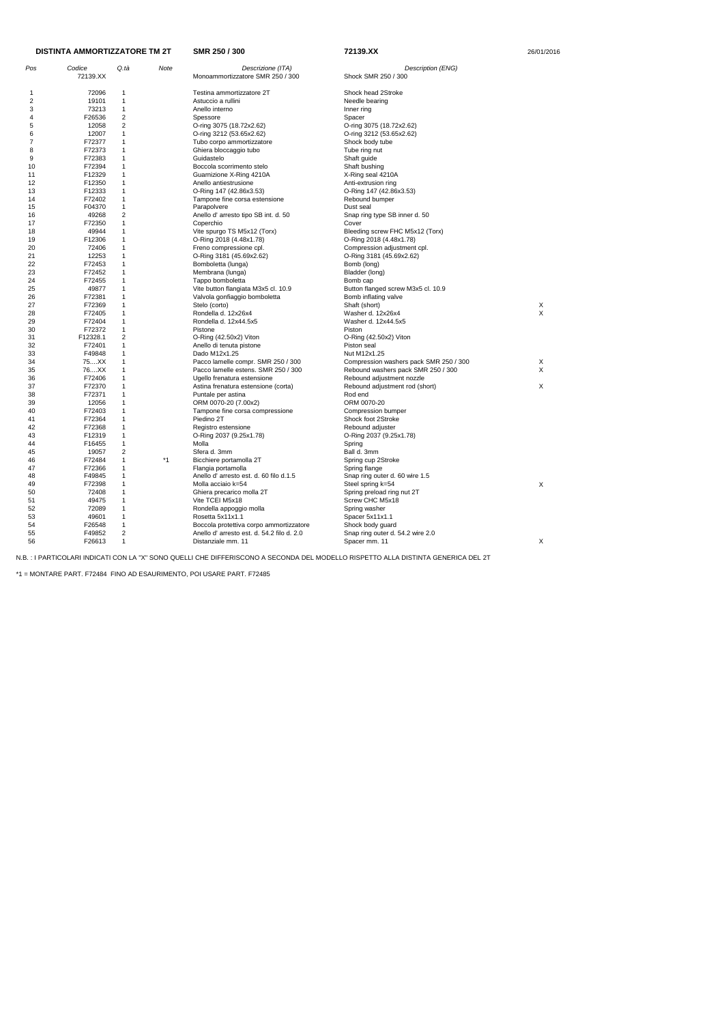| <b>DISTINTA AMMORTIZZATORE TM 2T</b> |                  |                              |      | SMR 250 / 300                                            | 72139.XX                                  | 26/01/2016 |  |
|--------------------------------------|------------------|------------------------------|------|----------------------------------------------------------|-------------------------------------------|------------|--|
| Pos                                  | Codice           | Q.tà                         | Note | Descrizione (ITA)                                        | Description (ENG)                         |            |  |
|                                      | 72139.XX         |                              |      | Monoammortizzatore SMR 250 / 300                         | Shock SMR 250 / 300                       |            |  |
| 1                                    | 72096            | 1                            |      | Testina ammortizzatore 2T                                | Shock head 2Stroke                        |            |  |
| 2                                    | 19101            | $\mathbf{1}$                 |      | Astuccio a rullini                                       | Needle bearing                            |            |  |
| 3                                    | 73213            | $\mathbf 1$                  |      | Anello interno                                           | Inner ring                                |            |  |
| 4                                    | F26536           | 2                            |      | Spessore                                                 | Spacer                                    |            |  |
| 5                                    | 12058            | $\overline{2}$               |      | O-ring 3075 (18.72x2.62)                                 | O-ring 3075 (18.72x2.62)                  |            |  |
| 6                                    | 12007            | $\mathbf{1}$                 |      | O-ring 3212 (53.65x2.62)                                 | O-ring 3212 (53.65x2.62)                  |            |  |
| 7                                    | F72377           | 1                            |      | Tubo corpo ammortizzatore                                | Shock body tube                           |            |  |
| 8                                    | F72373           | 1                            |      | Ghiera bloccaggio tubo                                   | Tube ring nut                             |            |  |
| 9                                    | F72383           | 1                            |      | Guidastelo                                               | Shaft guide                               |            |  |
| 10                                   | F72394           | $\mathbf{1}$                 |      | Boccola scorrimento stelo                                | Shaft bushing                             |            |  |
| 11                                   | F12329           | $\mathbf{1}$                 |      | Guarnizione X-Ring 4210A                                 | X-Ring seal 4210A                         |            |  |
| 12<br>13                             | F12350<br>F12333 | $\mathbf 1$<br>1             |      | Anello antiestrusione                                    | Anti-extrusion ring                       |            |  |
| 14                                   | F72402           | 1                            |      | O-Ring 147 (42.86x3.53)<br>Tampone fine corsa estensione | O-Ring 147 (42.86x3.53)<br>Rebound bumper |            |  |
| 15                                   | F04370           | 1                            |      | Parapolvere                                              | Dust seal                                 |            |  |
| 16                                   | 49268            | 2                            |      | Anello d' arresto tipo SB int. d. 50                     | Snap ring type SB inner d. 50             |            |  |
| 17                                   | F72350           | $\mathbf{1}$                 |      | Coperchio                                                | Cover                                     |            |  |
| 18                                   | 49944            | $\mathbf{1}$                 |      | Vite spurgo TS M5x12 (Torx)                              | Bleeding screw FHC M5x12 (Torx)           |            |  |
| 19                                   | F12306           | 1                            |      | O-Ring 2018 (4.48x1.78)                                  | O-Ring 2018 (4.48x1.78)                   |            |  |
| 20                                   | 72406            | 1                            |      | Freno compressione cpl.                                  | Compression adjustment cpl.               |            |  |
| 21                                   | 12253            | 1                            |      | O-Ring 3181 (45.69x2.62)                                 | O-Ring 3181 (45.69x2.62)                  |            |  |
| 22                                   | F72453           | $\mathbf 1$                  |      | Bomboletta (lunga)                                       | Bomb (long)                               |            |  |
| 23                                   | F72452           | $\mathbf{1}$                 |      | Membrana (lunga)                                         | Bladder (long)                            |            |  |
| 24                                   | F72455           | $\mathbf{1}$                 |      | Tappo bomboletta                                         | Bomb cap                                  |            |  |
| 25                                   | 49877            | 1                            |      | Vite button flangiata M3x5 cl. 10.9                      | Button flanged screw M3x5 cl. 10.9        |            |  |
| 26                                   | F72381           | 1                            |      | Valvola gonfiaggio bomboletta                            | Bomb inflating valve                      |            |  |
| 27                                   | F72369           | 1                            |      | Stelo (corto)                                            | Shaft (short)                             | Х          |  |
| 28                                   | F72405           | 1                            |      | Rondella d. 12x26x4                                      | Washer d. 12x26x4                         | X          |  |
| 29<br>30                             | F72404<br>F72372 | $\mathbf 1$<br>$\mathbf{1}$  |      | Rondella d. 12x44.5x5<br>Pistone                         | Washer d. 12x44.5x5<br>Piston             |            |  |
| 31                                   | F12328.1         | 2                            |      | O-Ring (42.50x2) Viton                                   | O-Ring (42.50x2) Viton                    |            |  |
| 32                                   | F72401           | 1                            |      | Anello di tenuta pistone                                 | Piston seal                               |            |  |
| 33                                   | F49848           | $\mathbf{1}$                 |      | Dado M12x1.25                                            | Nut M12x1.25                              |            |  |
| 34                                   | 75XX             | 1                            |      | Pacco lamelle compr. SMR 250 / 300                       | Compression washers pack SMR 250 / 300    | Χ          |  |
| 35                                   | 76XX             | $\mathbf{1}$                 |      | Pacco lamelle estens. SMR 250 / 300                      | Rebound washers pack SMR 250 / 300        | X          |  |
| 36                                   | F72406           | $\mathbf{1}$                 |      | Ugello frenatura estensione                              | Rebound adjustment nozzle                 |            |  |
| 37                                   | F72370           | 1                            |      | Astina frenatura estensione (corta)                      | Rebound adjustment rod (short)            | X          |  |
| 38                                   | F72371           | 1                            |      | Puntale per astina                                       | Rod end                                   |            |  |
| 39                                   | 12056            | 1                            |      | ORM 0070-20 (7.00x2)                                     | ORM 0070-20                               |            |  |
| 40                                   | F72403           | 1                            |      | Tampone fine corsa compressione                          | Compression bumper                        |            |  |
| 41                                   | F72364           | 1                            |      | Piedino 2T                                               | Shock foot 2Stroke                        |            |  |
| 42                                   | F72368           | 1                            |      | Registro estensione                                      | Rebound adjuster                          |            |  |
| 43                                   | F12319           | $\mathbf{1}$<br>$\mathbf{1}$ |      | O-Ring 2037 (9.25x1.78)                                  | O-Ring 2037 (9.25x1.78)                   |            |  |
| 44<br>45                             | F16455<br>19057  | 2                            |      | Molla<br>Sfera d. 3mm                                    | Spring<br>Ball d. 3mm                     |            |  |
| 46                                   | F72484           | $\mathbf{1}$                 | $*1$ | Bicchiere portamolla 2T                                  | Spring cup 2Stroke                        |            |  |
| 47                                   | F72366           | 1                            |      | Flangia portamolla                                       | Spring flange                             |            |  |
| 48                                   | F49845           | $\mathbf 1$                  |      | Anello d'arresto est. d. 60 filo d.1.5                   | Snap ring outer d. 60 wire 1.5            |            |  |
| 49                                   | F72398           | 1                            |      | Molla acciaio k=54                                       | Steel spring k=54                         | X          |  |
| 50                                   | 72408            | 1                            |      | Ghiera precarico molla 2T                                | Spring preload ring nut 2T                |            |  |
| 51                                   | 49475            |                              |      | Vite TCEI M5x18                                          | Screw CHC M5x18                           |            |  |
| 52                                   | 72089            | $\mathbf{1}$                 |      | Rondella appoggio molla                                  | Spring washer                             |            |  |
| 53                                   | 49601            | $\mathbf 1$                  |      | Rosetta 5x11x1.1                                         | Spacer 5x11x1.1                           |            |  |
| 54                                   | F26548           | $\mathbf{1}$                 |      | Boccola protettiva corpo ammortizzatore                  | Shock body guard                          |            |  |
| 55                                   | F49852           | $\overline{c}$               |      | Anello d'arresto est. d. 54.2 filo d. 2.0                | Snap ring outer d. 54.2 wire 2.0          |            |  |
| 56                                   | F26613           | $\mathbf{1}$                 |      | Distanziale mm. 11                                       | Spacer mm. 11                             | X          |  |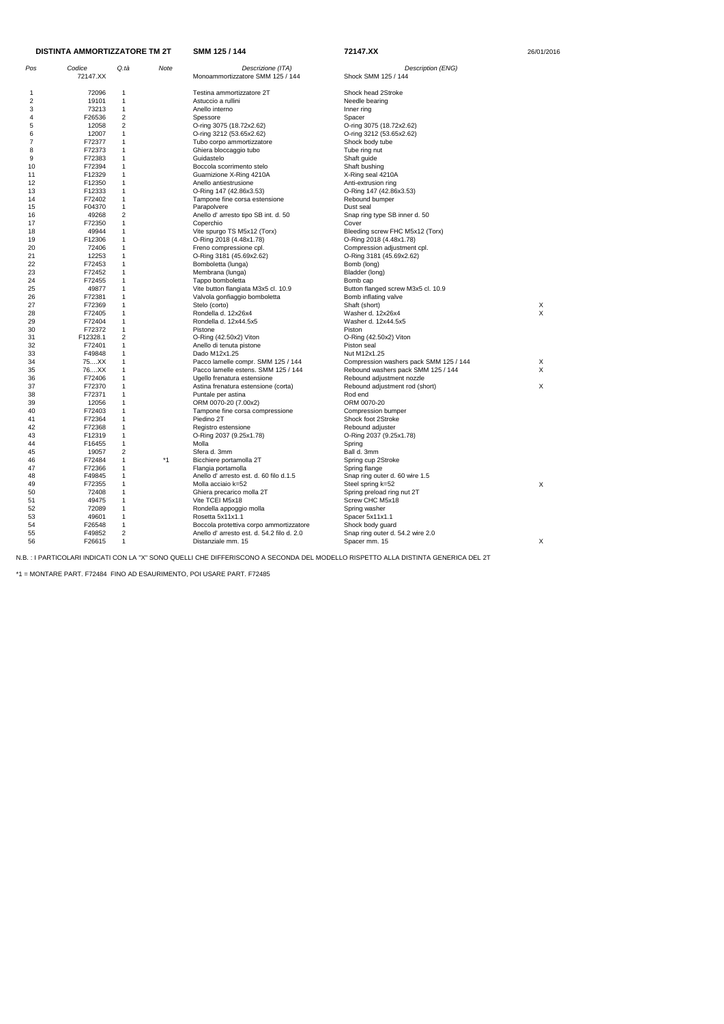| Pos | Codice<br>72147.XX | Q.tà                    | Note | Descrizione (ITA)<br>Monoammortizzatore SMM 125 / 144 | Description (ENG)<br>Shock SMM 125 / 144 |    |
|-----|--------------------|-------------------------|------|-------------------------------------------------------|------------------------------------------|----|
|     |                    |                         |      |                                                       |                                          |    |
| 1   | 72096              | -1                      |      | Testina ammortizzatore 2T                             | Shock head 2Stroke                       |    |
| 2   | 19101              | $\mathbf{1}$            |      | Astuccio a rullini                                    | Needle bearing                           |    |
| 3   | 73213              | $\mathbf 1$             |      | Anello interno                                        | Inner ring                               |    |
| 4   | F26536             | $\overline{\mathbf{c}}$ |      | Spessore                                              | Spacer                                   |    |
| 5   | 12058              | $\overline{\mathbf{c}}$ |      | O-ring 3075 (18.72x2.62)                              | O-ring 3075 (18.72x2.62)                 |    |
| 6   | 12007              | $\mathbf 1$             |      | O-ring 3212 (53.65x2.62)                              | O-ring 3212 (53.65x2.62)                 |    |
| 7   | F72377             | 1                       |      | Tubo corpo ammortizzatore                             | Shock body tube                          |    |
| 8   | F72373             | $\mathbf 1$             |      | Ghiera bloccaggio tubo                                | Tube ring nut                            |    |
| 9   | F72383             | 1                       |      | Guidastelo                                            | Shaft guide                              |    |
| 10  | F72394             | $\mathbf 1$             |      | Boccola scorrimento stelo                             | Shaft bushing                            |    |
| 11  | F12329             | 1                       |      | Guarnizione X-Ring 4210A                              | X-Ring seal 4210A                        |    |
| 12  | F12350             | 1                       |      | Anello antiestrusione                                 | Anti-extrusion ring                      |    |
| 13  | F12333             | $\mathbf 1$             |      | O-Ring 147 (42.86x3.53)                               | O-Ring 147 (42.86x3.53)                  |    |
| 14  | F72402             | 1                       |      | Tampone fine corsa estensione                         | Rebound bumper                           |    |
| 15  | F04370             | 1                       |      | Parapolvere                                           | Dust seal                                |    |
| 16  | 49268              | $\overline{\mathbf{c}}$ |      | Anello d' arresto tipo SB int. d. 50                  | Snap ring type SB inner d. 50            |    |
| 17  | F72350             | 1                       |      | Coperchio                                             | Cover                                    |    |
| 18  | 49944              | $\mathbf 1$             |      | Vite spurgo TS M5x12 (Torx)                           | Bleeding screw FHC M5x12 (Torx)          |    |
| 19  | F12306             | 1                       |      | O-Ring 2018 (4.48x1.78)                               | O-Ring 2018 (4.48x1.78)                  |    |
| 20  | 72406              | 1                       |      | Freno compressione cpl.                               | Compression adjustment cpl.              |    |
| 21  | 12253              | $\mathbf 1$             |      | O-Ring 3181 (45.69x2.62)                              | O-Ring 3181 (45.69x2.62)                 |    |
| 22  | F72453             | 1                       |      | Bomboletta (lunga)                                    |                                          |    |
|     | F72452             | 1                       |      |                                                       | Bomb (long)                              |    |
| 23  |                    |                         |      | Membrana (lunga)                                      | Bladder (long)<br>Bomb cap               |    |
| 24  | F72455             | 1                       |      | Tappo bomboletta                                      |                                          |    |
| 25  | 49877              | $\mathbf 1$             |      | Vite button flangiata M3x5 cl. 10.9                   | Button flanged screw M3x5 cl. 10.9       |    |
| 26  | F72381             | 1                       |      | Valvola gonfiaggio bomboletta                         | Bomb inflating valve                     |    |
| 27  | F72369             | 1                       |      | Stelo (corto)                                         | Shaft (short)                            | Х  |
| 28  | F72405             | 1                       |      | Rondella d. 12x26x4                                   | Washer d. 12x26x4                        | X  |
| 29  | F72404             | 1                       |      | Rondella d. 12x44.5x5                                 | Washer d. 12x44.5x5                      |    |
| 30  | F72372             | $\mathbf 1$             |      | Pistone                                               | Piston                                   |    |
| 31  | F12328.1           | 2                       |      | O-Ring (42.50x2) Viton                                | O-Ring (42.50x2) Viton                   |    |
| 32  | F72401             | $\mathbf 1$             |      | Anello di tenuta pistone                              | Piston seal                              |    |
| 33  | F49848             | 1                       |      | Dado M12x1.25                                         | Nut M12x1.25                             |    |
| 34  | 75XX               | $\mathbf{1}$            |      | Pacco lamelle compr. SMM 125 / 144                    | Compression washers pack SMM 125 / 144   | Х  |
| 35  | 76XX               | 1                       |      | Pacco lamelle estens. SMM 125 / 144                   | Rebound washers pack SMM 125 / 144       | X  |
| 36  | F72406             | 1                       |      | Ugello frenatura estensione                           | Rebound adjustment nozzle                |    |
| 37  | F72370             | 1                       |      | Astina frenatura estensione (corta)                   | Rebound adjustment rod (short)           | X  |
| 38  | F72371             | 1                       |      | Puntale per astina                                    | Rod end                                  |    |
| 39  | 12056              | 1                       |      | ORM 0070-20 (7.00x2)                                  | ORM 0070-20                              |    |
| 40  | F72403             | $\mathbf 1$             |      | Tampone fine corsa compressione                       | Compression bumper                       |    |
| 41  | F72364             | 1                       |      | Piedino 2T                                            | Shock foot 2Stroke                       |    |
| 42  | F72368             | 1                       |      | Registro estensione                                   | Rebound adjuster                         |    |
| 43  | F12319             | 1                       |      | O-Ring 2037 (9.25x1.78)                               | O-Ring 2037 (9.25x1.78)                  |    |
| 44  | F16455             | $\mathbf{1}$            |      | Molla                                                 | Spring                                   |    |
| 45  | 19057              | 2                       |      | Sfera d. 3mm                                          | Ball d. 3mm                              |    |
| 46  | F72484             | $\mathbf{1}$            | *1   | Bicchiere portamolla 2T                               | Spring cup 2Stroke                       |    |
| 47  | F72366             | 1                       |      | Flangia portamolla                                    | Spring flange                            |    |
| 48  | F49845             | $\mathbf{1}$            |      | Anello d'arresto est. d. 60 filo d.1.5                | Snap ring outer d. 60 wire 1.5           |    |
| 49  | F72355             | 1                       |      | Molla acciaio k=52                                    | Steel spring k=52                        | X  |
| 50  | 72408              | 1                       |      | Ghiera precarico molla 2T                             | Spring preload ring nut 2T               |    |
| 51  | 49475              | $\mathbf 1$             |      | Vite TCEI M5x18                                       | Screw CHC M5x18                          |    |
| 52  | 72089              | 1                       |      | Rondella appoggio molla                               | Spring washer                            |    |
| 53  | 49601              | 1                       |      | Rosetta 5x11x1.1                                      | Spacer 5x11x1.1                          |    |
| 54  | F26548             | $\mathbf{1}$            |      | Boccola protettiva corpo ammortizzatore               | Shock body guard                         |    |
| 55  | F49852             | $\overline{\mathbf{c}}$ |      | Anello d'arresto est. d. 54.2 filo d. 2.0             | Snap ring outer d. 54.2 wire 2.0         |    |
| 56  | F26615             | $\mathbf{1}$            |      | Distanziale mm. 15                                    | Spacer mm. 15                            | X. |

\*1 = MONTARE PART. F72484 FINO AD ESAURIMENTO, POI USARE PART. F72485

## **DISTINTA AMMORTIZZATORE TM 2T**

**SMM 125 / 144 72147.XX** 

| 26/01/2016 |  |  |
|------------|--|--|
|------------|--|--|